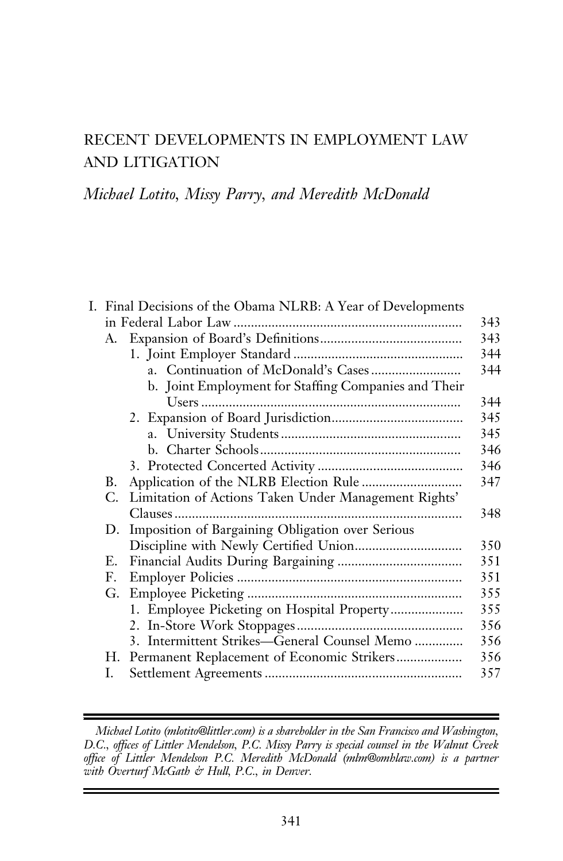# RECENT DEVELOPMENTS IN EMPLOYMENT LAW AND LITIGATION

## Michael Lotito, Missy Parry, and Meredith McDonald

|    | I. Final Decisions of the Obama NLRB: A Year of Developments |     |
|----|--------------------------------------------------------------|-----|
|    |                                                              | 343 |
|    |                                                              | 343 |
|    |                                                              | 344 |
|    |                                                              | 344 |
|    | b. Joint Employment for Staffing Companies and Their         |     |
|    |                                                              | 344 |
|    |                                                              | 345 |
|    |                                                              | 345 |
|    |                                                              | 346 |
|    |                                                              | 346 |
| В. |                                                              | 347 |
| C. | Limitation of Actions Taken Under Management Rights'         |     |
|    |                                                              | 348 |
| D. | Imposition of Bargaining Obligation over Serious             |     |
|    |                                                              | 350 |
| Е. |                                                              | 351 |
| F. |                                                              | 351 |
| G. |                                                              | 355 |
|    | 1. Employee Picketing on Hospital Property                   | 355 |
|    |                                                              | 356 |
|    | 3. Intermittent Strikes—General Counsel Memo                 | 356 |
| Н. |                                                              | 356 |
| I. |                                                              | 357 |
|    |                                                              |     |

Michael Lotito (mlotito@littler.com) is a shareholder in the San Francisco and Washington, D.C., offices of Littler Mendelson, P.C. Missy Parry is special counsel in the Walnut Creek office of Littler Mendelson P.C. Meredith McDonald (mlm@omhlaw.com) is a partner with Overturf McGath & Hull, P.C., in Denver.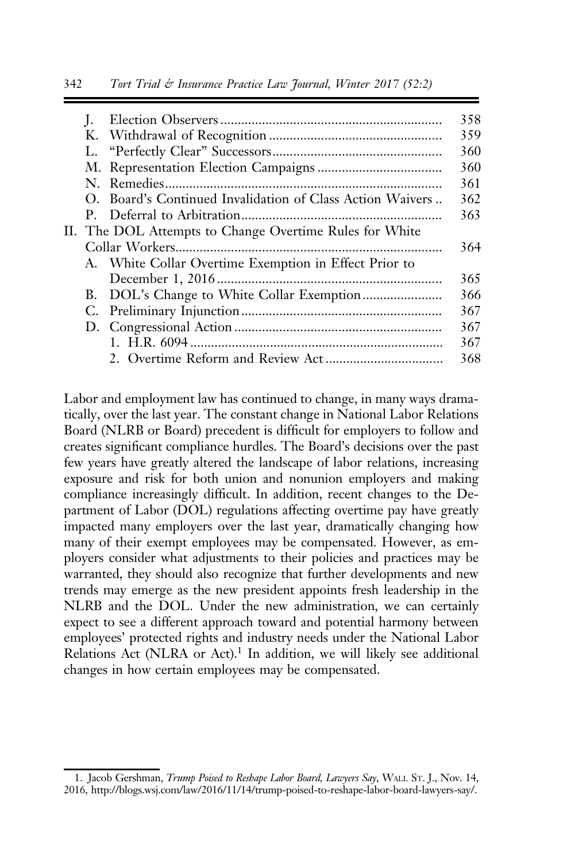|  |    | 358                                                                                                                                                                           |
|--|----|-------------------------------------------------------------------------------------------------------------------------------------------------------------------------------|
|  |    |                                                                                                                                                                               |
|  |    | 359                                                                                                                                                                           |
|  |    | 360                                                                                                                                                                           |
|  |    | 360                                                                                                                                                                           |
|  |    | 361                                                                                                                                                                           |
|  |    |                                                                                                                                                                               |
|  |    | 363                                                                                                                                                                           |
|  |    |                                                                                                                                                                               |
|  |    |                                                                                                                                                                               |
|  |    |                                                                                                                                                                               |
|  |    |                                                                                                                                                                               |
|  |    |                                                                                                                                                                               |
|  |    |                                                                                                                                                                               |
|  |    |                                                                                                                                                                               |
|  |    |                                                                                                                                                                               |
|  |    |                                                                                                                                                                               |
|  | Ι. | O. Board's Continued Invalidation of Class Action Waivers<br>II. The DOL Attempts to Change Overtime Rules for White<br>A. White Collar Overtime Exemption in Effect Prior to |

Labor and employment law has continued to change, in many ways dramatically, over the last year. The constant change in National Labor Relations Board (NLRB or Board) precedent is difficult for employers to follow and creates significant compliance hurdles. The Board's decisions over the past few years have greatly altered the landscape of labor relations, increasing exposure and risk for both union and nonunion employers and making compliance increasingly difficult. In addition, recent changes to the Department of Labor (DOL) regulations affecting overtime pay have greatly impacted many employers over the last year, dramatically changing how many of their exempt employees may be compensated. However, as employers consider what adjustments to their policies and practices may be warranted, they should also recognize that further developments and new trends may emerge as the new president appoints fresh leadership in the NLRB and the DOL. Under the new administration, we can certainly expect to see a different approach toward and potential harmony between employees' protected rights and industry needs under the National Labor Relations Act (NLRA or Act).<sup>1</sup> In addition, we will likely see additional changes in how certain employees may be compensated.

<sup>1.</sup> Jacob Gershman, Trump Poised to Reshape Labor Board, Lawyers Say, WALL ST. J., Nov. 14, 2016, http://blogs.wsj.com/law/2016/11/14/trump-poised-to-reshape-labor-board-lawyers-say/.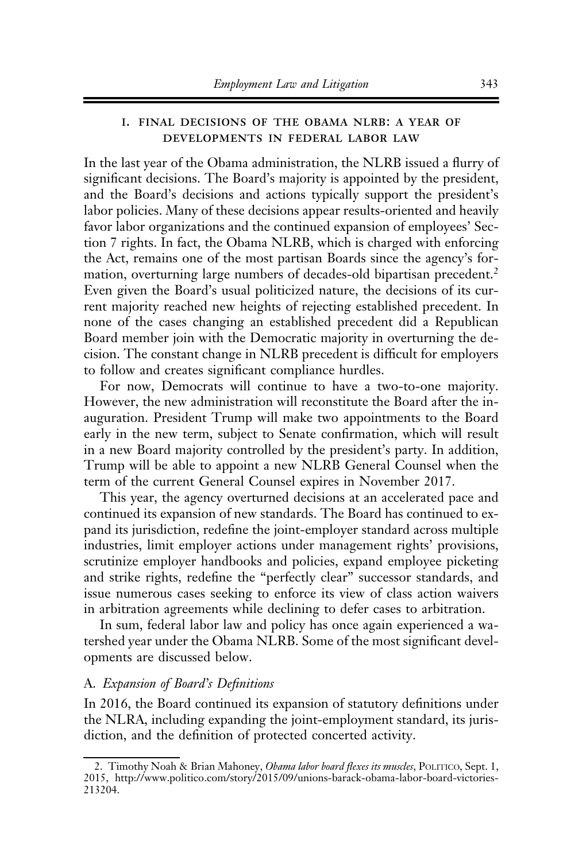## i. final decisions of the obama nlrb: a year of developments in federal labor law

In the last year of the Obama administration, the NLRB issued a flurry of significant decisions. The Board's majority is appointed by the president, and the Board's decisions and actions typically support the president's labor policies. Many of these decisions appear results-oriented and heavily favor labor organizations and the continued expansion of employees' Section 7 rights. In fact, the Obama NLRB, which is charged with enforcing the Act, remains one of the most partisan Boards since the agency's formation, overturning large numbers of decades-old bipartisan precedent.<sup>2</sup> Even given the Board's usual politicized nature, the decisions of its current majority reached new heights of rejecting established precedent. In none of the cases changing an established precedent did a Republican Board member join with the Democratic majority in overturning the decision. The constant change in NLRB precedent is difficult for employers to follow and creates significant compliance hurdles.

For now, Democrats will continue to have a two-to-one majority. However, the new administration will reconstitute the Board after the inauguration. President Trump will make two appointments to the Board early in the new term, subject to Senate confirmation, which will result in a new Board majority controlled by the president's party. In addition, Trump will be able to appoint a new NLRB General Counsel when the term of the current General Counsel expires in November 2017.

This year, the agency overturned decisions at an accelerated pace and continued its expansion of new standards. The Board has continued to expand its jurisdiction, redefine the joint-employer standard across multiple industries, limit employer actions under management rights' provisions, scrutinize employer handbooks and policies, expand employee picketing and strike rights, redefine the "perfectly clear" successor standards, and issue numerous cases seeking to enforce its view of class action waivers in arbitration agreements while declining to defer cases to arbitration.

In sum, federal labor law and policy has once again experienced a watershed year under the Obama NLRB. Some of the most significant developments are discussed below.

#### A. Expansion of Board's Definitions

In 2016, the Board continued its expansion of statutory definitions under the NLRA, including expanding the joint-employment standard, its jurisdiction, and the definition of protected concerted activity.

<sup>2.</sup> Timothy Noah & Brian Mahoney, Obama labor board flexes its muscles, POLITICO, Sept. 1, 2015, http://www.politico.com/story/2015/09/unions-barack-obama-labor-board-victories-213204.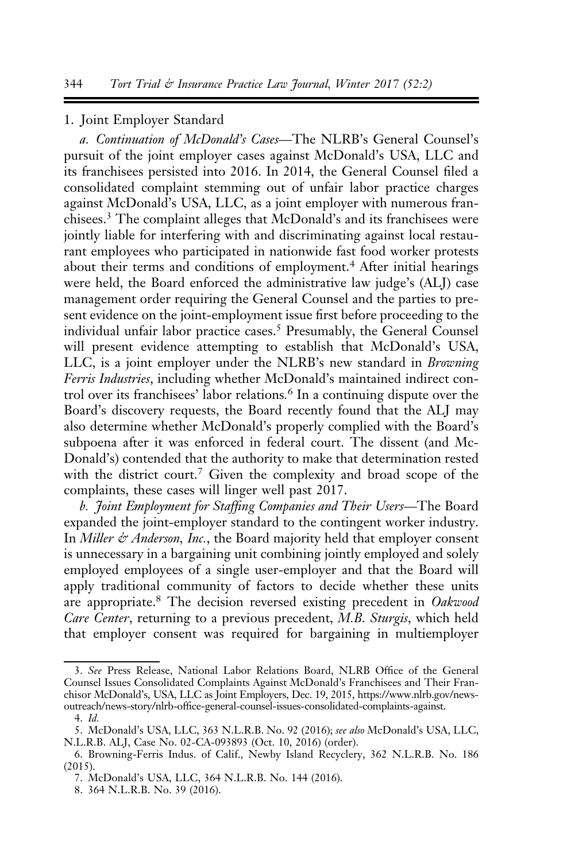#### 1. Joint Employer Standard

a. Continuation of McDonald's Cases—The NLRB's General Counsel's pursuit of the joint employer cases against McDonald's USA, LLC and its franchisees persisted into 2016. In 2014, the General Counsel filed a consolidated complaint stemming out of unfair labor practice charges against McDonald's USA, LLC, as a joint employer with numerous franchisees.<sup>3</sup> The complaint alleges that McDonald's and its franchisees were jointly liable for interfering with and discriminating against local restaurant employees who participated in nationwide fast food worker protests about their terms and conditions of employment.<sup>4</sup> After initial hearings were held, the Board enforced the administrative law judge's (ALJ) case management order requiring the General Counsel and the parties to present evidence on the joint-employment issue first before proceeding to the individual unfair labor practice cases.<sup>5</sup> Presumably, the General Counsel will present evidence attempting to establish that McDonald's USA, LLC, is a joint employer under the NLRB's new standard in Browning Ferris Industries, including whether McDonald's maintained indirect control over its franchisees' labor relations. <sup>6</sup> In a continuing dispute over the Board's discovery requests, the Board recently found that the ALJ may also determine whether McDonald's properly complied with the Board's subpoena after it was enforced in federal court. The dissent (and Mc-Donald's) contended that the authority to make that determination rested with the district court.<sup>7</sup> Given the complexity and broad scope of the complaints, these cases will linger well past 2017.

b. Joint Employment for Staffing Companies and Their Users—The Board expanded the joint-employer standard to the contingent worker industry. In Miller  $\dot{\varphi}$  Anderson, Inc., the Board majority held that employer consent is unnecessary in a bargaining unit combining jointly employed and solely employed employees of a single user-employer and that the Board will apply traditional community of factors to decide whether these units are appropriate.<sup>8</sup> The decision reversed existing precedent in Oakwood Care Center, returning to a previous precedent, M.B. Sturgis, which held that employer consent was required for bargaining in multiemployer

<sup>3.</sup> See Press Release, National Labor Relations Board, NLRB Office of the General Counsel Issues Consolidated Complaints Against McDonald's Franchisees and Their Franchisor McDonald's, USA, LLC as Joint Employers, Dec. 19, 2015, https://www.nlrb.gov/newsoutreach/news-story/nlrb-office-general-counsel-issues-consolidated-complaints-against.

<sup>4.</sup> Id.

<sup>5.</sup> McDonald's USA, LLC, 363 N.L.R.B. No. 92 (2016); see also McDonald's USA, LLC, N.L.R.B. ALJ, Case No. 02-CA-093893 (Oct. 10, 2016) (order).

<sup>6.</sup> Browning-Ferris Indus. of Calif., Newby Island Recyclery, 362 N.L.R.B. No. 186 (2015).

<sup>7.</sup> McDonald's USA, LLC, 364 N.L.R.B. No. 144 (2016).

<sup>8. 364</sup> N.L.R.B. No. 39 (2016).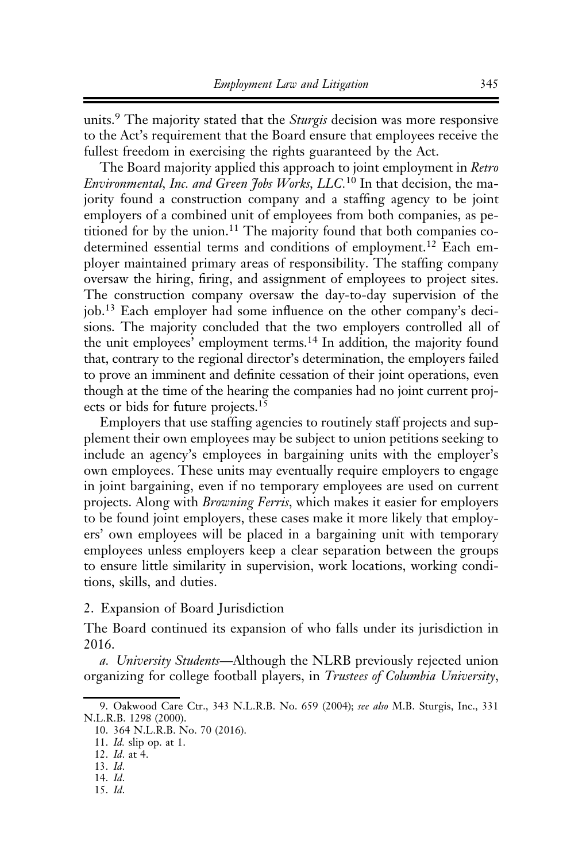units.<sup>9</sup> The majority stated that the Sturgis decision was more responsive to the Act's requirement that the Board ensure that employees receive the fullest freedom in exercising the rights guaranteed by the Act.

The Board majority applied this approach to joint employment in Retro Environmental, Inc. and Green Jobs Works, LLC.<sup>10</sup> In that decision, the majority found a construction company and a staffing agency to be joint employers of a combined unit of employees from both companies, as petitioned for by the union.11 The majority found that both companies codetermined essential terms and conditions of employment.<sup>12</sup> Each employer maintained primary areas of responsibility. The staffing company oversaw the hiring, firing, and assignment of employees to project sites. The construction company oversaw the day-to-day supervision of the job.<sup>13</sup> Each employer had some influence on the other company's decisions. The majority concluded that the two employers controlled all of the unit employees' employment terms.14 In addition, the majority found that, contrary to the regional director's determination, the employers failed to prove an imminent and definite cessation of their joint operations, even though at the time of the hearing the companies had no joint current projects or bids for future projects.<sup>15</sup>

Employers that use staffing agencies to routinely staff projects and supplement their own employees may be subject to union petitions seeking to include an agency's employees in bargaining units with the employer's own employees. These units may eventually require employers to engage in joint bargaining, even if no temporary employees are used on current projects. Along with Browning Ferris, which makes it easier for employers to be found joint employers, these cases make it more likely that employers' own employees will be placed in a bargaining unit with temporary employees unless employers keep a clear separation between the groups to ensure little similarity in supervision, work locations, working conditions, skills, and duties.

2. Expansion of Board Jurisdiction

The Board continued its expansion of who falls under its jurisdiction in 2016.

a. University Students—Although the NLRB previously rejected union organizing for college football players, in Trustees of Columbia University,

<sup>9.</sup> Oakwood Care Ctr., 343 N.L.R.B. No. 659 (2004); see also M.B. Sturgis, Inc., 331 N.L.R.B. 1298 (2000).

<sup>10. 364</sup> N.L.R.B. No. 70 (2016).

<sup>11.</sup> Id. slip op. at 1.

<sup>12.</sup> Id. at 4.

<sup>13.</sup> Id.

<sup>14.</sup> Id. 15. Id.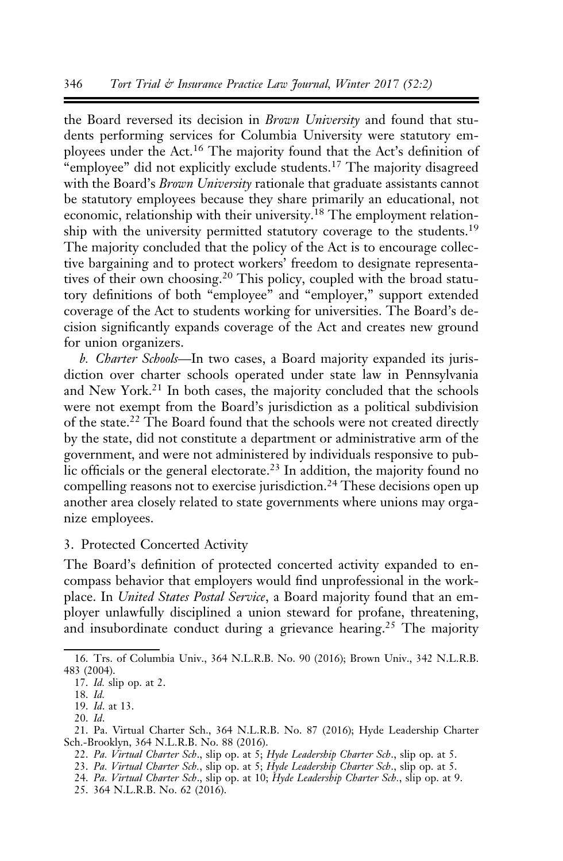the Board reversed its decision in Brown University and found that students performing services for Columbia University were statutory employees under the Act.<sup>16</sup> The majority found that the Act's definition of "employee" did not explicitly exclude students.<sup>17</sup> The majority disagreed with the Board's Brown University rationale that graduate assistants cannot be statutory employees because they share primarily an educational, not economic, relationship with their university.18 The employment relationship with the university permitted statutory coverage to the students.<sup>19</sup> The majority concluded that the policy of the Act is to encourage collective bargaining and to protect workers' freedom to designate representatives of their own choosing.<sup>20</sup> This policy, coupled with the broad statutory definitions of both "employee" and "employer," support extended coverage of the Act to students working for universities. The Board's decision significantly expands coverage of the Act and creates new ground for union organizers.

b. Charter Schools—In two cases, a Board majority expanded its jurisdiction over charter schools operated under state law in Pennsylvania and New York.<sup>21</sup> In both cases, the majority concluded that the schools were not exempt from the Board's jurisdiction as a political subdivision of the state.<sup>22</sup> The Board found that the schools were not created directly by the state, did not constitute a department or administrative arm of the government, and were not administered by individuals responsive to public officials or the general electorate.<sup>23</sup> In addition, the majority found no compelling reasons not to exercise jurisdiction.<sup>24</sup> These decisions open up another area closely related to state governments where unions may organize employees.

## 3. Protected Concerted Activity

The Board's definition of protected concerted activity expanded to encompass behavior that employers would find unprofessional in the workplace. In United States Postal Service, a Board majority found that an employer unlawfully disciplined a union steward for profane, threatening, and insubordinate conduct during a grievance hearing.<sup>25</sup> The majority

- 22. Pa. Virtual Charter Sch., slip op. at 5; Hyde Leadership Charter Sch., slip op. at 5.
- 23. Pa. Virtual Charter Sch., slip op. at 5; Hyde Leadership Charter Sch., slip op. at 5.

25. 364 N.L.R.B. No. 62 (2016).

<sup>16.</sup> Trs. of Columbia Univ., 364 N.L.R.B. No. 90 (2016); Brown Univ., 342 N.L.R.B. 483 (2004).

<sup>17.</sup> Id. slip op. at 2.

<sup>18.</sup> Id.

<sup>19.</sup> Id. at 13.

<sup>20.</sup> Id.

<sup>21.</sup> Pa. Virtual Charter Sch., 364 N.L.R.B. No. 87 (2016); Hyde Leadership Charter Sch.-Brooklyn, 364 N.L.R.B. No. 88 (2016).

<sup>24.</sup> Pa. Virtual Charter Sch., slip op. at 10; Hyde Leadership Charter Sch., slip op. at 9.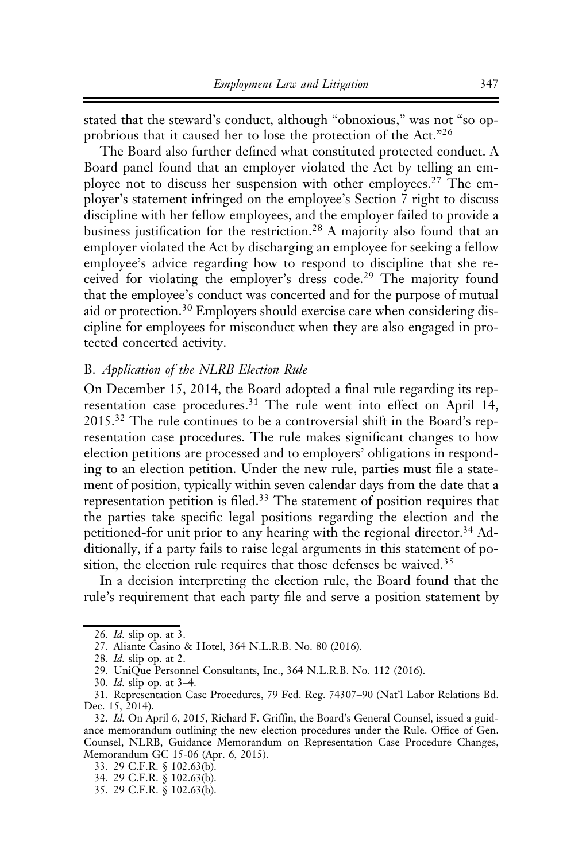stated that the steward's conduct, although "obnoxious," was not "so opprobrious that it caused her to lose the protection of the Act."<sup>26</sup>

The Board also further defined what constituted protected conduct. A Board panel found that an employer violated the Act by telling an employee not to discuss her suspension with other employees.<sup>27</sup> The employer's statement infringed on the employee's Section 7 right to discuss discipline with her fellow employees, and the employer failed to provide a business justification for the restriction.<sup>28</sup> A majority also found that an employer violated the Act by discharging an employee for seeking a fellow employee's advice regarding how to respond to discipline that she received for violating the employer's dress code.<sup>29</sup> The majority found that the employee's conduct was concerted and for the purpose of mutual aid or protection.<sup>30</sup> Employers should exercise care when considering discipline for employees for misconduct when they are also engaged in protected concerted activity.

#### B. Application of the NLRB Election Rule

On December 15, 2014, the Board adopted a final rule regarding its representation case procedures.<sup>31</sup> The rule went into effect on April 14, 2015.<sup>32</sup> The rule continues to be a controversial shift in the Board's representation case procedures. The rule makes significant changes to how election petitions are processed and to employers' obligations in responding to an election petition. Under the new rule, parties must file a statement of position, typically within seven calendar days from the date that a representation petition is filed.<sup>33</sup> The statement of position requires that the parties take specific legal positions regarding the election and the petitioned-for unit prior to any hearing with the regional director.<sup>34</sup> Additionally, if a party fails to raise legal arguments in this statement of position, the election rule requires that those defenses be waived.<sup>35</sup>

In a decision interpreting the election rule, the Board found that the rule's requirement that each party file and serve a position statement by

<sup>26.</sup> Id. slip op. at 3.

<sup>27.</sup> Aliante Casino & Hotel, 364 N.L.R.B. No. 80 (2016).

<sup>28.</sup> Id. slip op. at 2.

<sup>29.</sup> UniQue Personnel Consultants, Inc., 364 N.L.R.B. No. 112 (2016).

<sup>30.</sup> Id. slip op. at 3–4.

<sup>31.</sup> Representation Case Procedures, 79 Fed. Reg. 74307–90 (Nat'l Labor Relations Bd. Dec. 15, 2014).

<sup>32.</sup> Id. On April 6, 2015, Richard F. Griffin, the Board's General Counsel, issued a guidance memorandum outlining the new election procedures under the Rule. Office of Gen. Counsel, NLRB, Guidance Memorandum on Representation Case Procedure Changes, Memorandum GC 15-06 (Apr. 6, 2015).

<sup>33. 29</sup> C.F.R. § 102.63(b).

<sup>34. 29</sup> C.F.R. § 102.63(b).

<sup>35. 29</sup> C.F.R. § 102.63(b).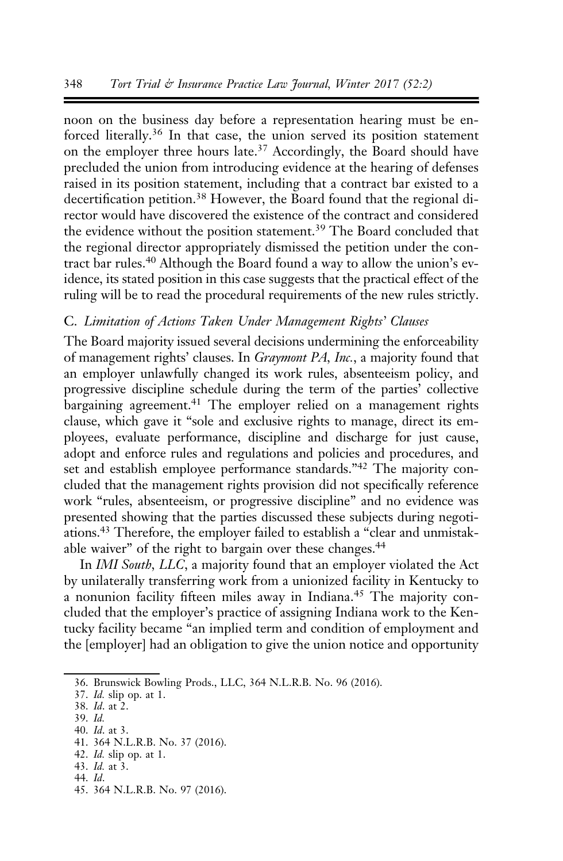noon on the business day before a representation hearing must be enforced literally.<sup>36</sup> In that case, the union served its position statement on the employer three hours late.<sup>37</sup> Accordingly, the Board should have precluded the union from introducing evidence at the hearing of defenses raised in its position statement, including that a contract bar existed to a decertification petition.<sup>38</sup> However, the Board found that the regional director would have discovered the existence of the contract and considered the evidence without the position statement.<sup>39</sup> The Board concluded that the regional director appropriately dismissed the petition under the contract bar rules.<sup>40</sup> Although the Board found a way to allow the union's evidence, its stated position in this case suggests that the practical effect of the ruling will be to read the procedural requirements of the new rules strictly.

## C. Limitation of Actions Taken Under Management Rights' Clauses

The Board majority issued several decisions undermining the enforceability of management rights' clauses. In Graymont PA, Inc., a majority found that an employer unlawfully changed its work rules, absenteeism policy, and progressive discipline schedule during the term of the parties' collective bargaining agreement.<sup>41</sup> The employer relied on a management rights clause, which gave it "sole and exclusive rights to manage, direct its employees, evaluate performance, discipline and discharge for just cause, adopt and enforce rules and regulations and policies and procedures, and set and establish employee performance standards."<sup>42</sup> The majority concluded that the management rights provision did not specifically reference work "rules, absenteeism, or progressive discipline" and no evidence was presented showing that the parties discussed these subjects during negotiations.43 Therefore, the employer failed to establish a "clear and unmistakable waiver" of the right to bargain over these changes.<sup>44</sup>

In IMI South, LLC, a majority found that an employer violated the Act by unilaterally transferring work from a unionized facility in Kentucky to a nonunion facility fifteen miles away in Indiana.<sup>45</sup> The majority concluded that the employer's practice of assigning Indiana work to the Kentucky facility became "an implied term and condition of employment and the [employer] had an obligation to give the union notice and opportunity

- 40. Id. at 3.
- 41. 364 N.L.R.B. No. 37 (2016).
- 42. Id. slip op. at 1.
- 43. Id. at 3. 44. Id.
- 45. 364 N.L.R.B. No. 97 (2016).

<sup>36.</sup> Brunswick Bowling Prods., LLC, 364 N.L.R.B. No. 96 (2016).

<sup>37.</sup> Id. slip op. at 1.

<sup>38.</sup> Id. at 2.

<sup>39.</sup> Id.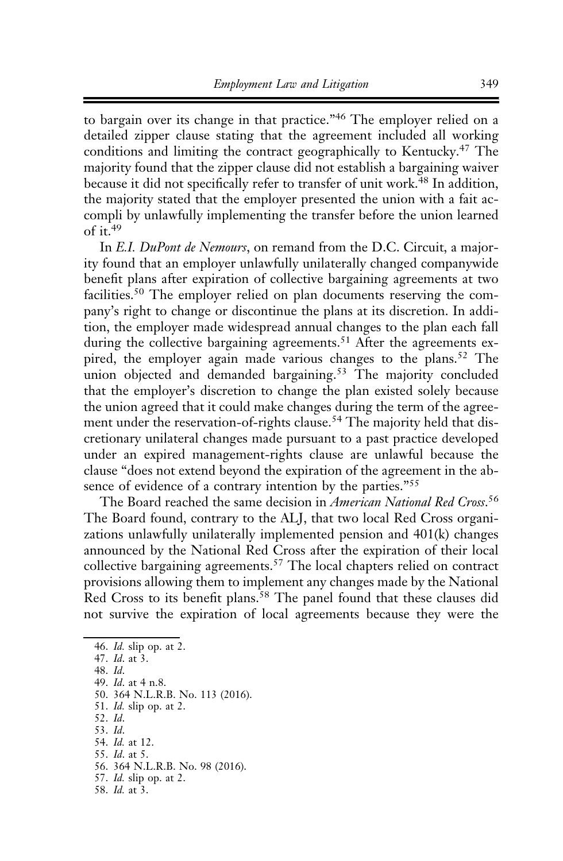to bargain over its change in that practice."<sup>46</sup> The employer relied on a detailed zipper clause stating that the agreement included all working conditions and limiting the contract geographically to Kentucky.<sup>47</sup> The majority found that the zipper clause did not establish a bargaining waiver because it did not specifically refer to transfer of unit work.<sup>48</sup> In addition, the majority stated that the employer presented the union with a fait accompli by unlawfully implementing the transfer before the union learned of it. $49$ 

In E.I. DuPont de Nemours, on remand from the D.C. Circuit, a majority found that an employer unlawfully unilaterally changed companywide benefit plans after expiration of collective bargaining agreements at two facilities.<sup>50</sup> The employer relied on plan documents reserving the company's right to change or discontinue the plans at its discretion. In addition, the employer made widespread annual changes to the plan each fall during the collective bargaining agreements.<sup>51</sup> After the agreements expired, the employer again made various changes to the plans.<sup>52</sup> The union objected and demanded bargaining.<sup>53</sup> The majority concluded that the employer's discretion to change the plan existed solely because the union agreed that it could make changes during the term of the agreement under the reservation-of-rights clause.<sup>54</sup> The majority held that discretionary unilateral changes made pursuant to a past practice developed under an expired management-rights clause are unlawful because the clause "does not extend beyond the expiration of the agreement in the absence of evidence of a contrary intention by the parties."<sup>55</sup>

The Board reached the same decision in American National Red Cross.<sup>56</sup> The Board found, contrary to the ALJ, that two local Red Cross organizations unlawfully unilaterally implemented pension and 401(k) changes announced by the National Red Cross after the expiration of their local collective bargaining agreements.<sup>57</sup> The local chapters relied on contract provisions allowing them to implement any changes made by the National Red Cross to its benefit plans.<sup>58</sup> The panel found that these clauses did not survive the expiration of local agreements because they were the

46. Id. slip op. at 2. 47. Id. at 3. 48. Id. 49. Id. at 4 n.8. 50. 364 N.L.R.B. No. 113 (2016). 51. Id. slip op. at 2. 52. Id. 53. Id. 54. Id. at 12. 55. Id. at 5. 56. 364 N.L.R.B. No. 98 (2016). 57. Id. slip op. at 2. 58. Id. at 3.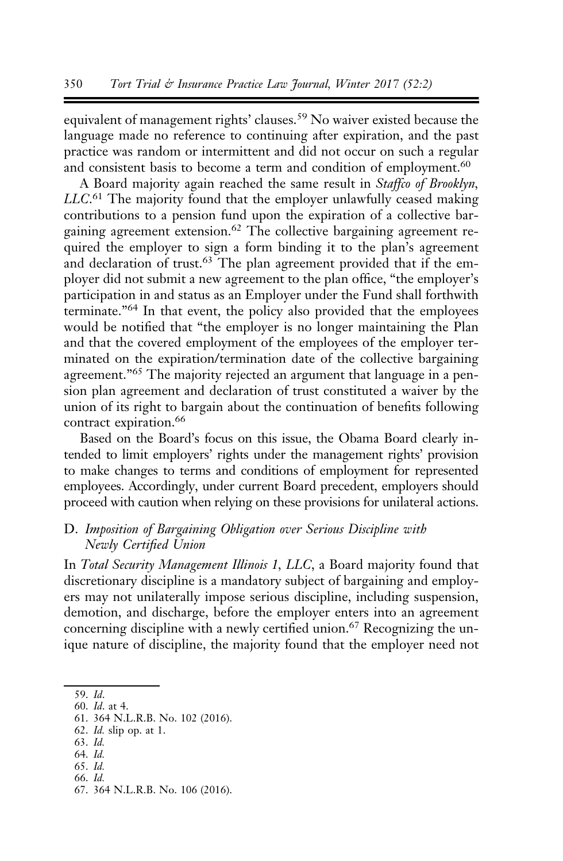equivalent of management rights' clauses.<sup>59</sup> No waiver existed because the language made no reference to continuing after expiration, and the past practice was random or intermittent and did not occur on such a regular and consistent basis to become a term and condition of employment.<sup>60</sup>

A Board majority again reached the same result in Staffco of Brooklyn, LLC.<sup>61</sup> The majority found that the employer unlawfully ceased making contributions to a pension fund upon the expiration of a collective bargaining agreement extension.<sup>62</sup> The collective bargaining agreement required the employer to sign a form binding it to the plan's agreement and declaration of trust.<sup>63</sup> The plan agreement provided that if the employer did not submit a new agreement to the plan office, "the employer's participation in and status as an Employer under the Fund shall forthwith terminate."<sup>64</sup> In that event, the policy also provided that the employees would be notified that "the employer is no longer maintaining the Plan and that the covered employment of the employees of the employer terminated on the expiration/termination date of the collective bargaining agreement.<sup>"65</sup> The majority rejected an argument that language in a pension plan agreement and declaration of trust constituted a waiver by the union of its right to bargain about the continuation of benefits following contract expiration.<sup>66</sup>

Based on the Board's focus on this issue, the Obama Board clearly intended to limit employers' rights under the management rights' provision to make changes to terms and conditions of employment for represented employees. Accordingly, under current Board precedent, employers should proceed with caution when relying on these provisions for unilateral actions.

## D. Imposition of Bargaining Obligation over Serious Discipline with Newly Certified Union

In Total Security Management Illinois 1, LLC, a Board majority found that discretionary discipline is a mandatory subject of bargaining and employers may not unilaterally impose serious discipline, including suspension, demotion, and discharge, before the employer enters into an agreement concerning discipline with a newly certified union.<sup>67</sup> Recognizing the unique nature of discipline, the majority found that the employer need not

62. Id. slip op. at 1.

- 64. Id. 65. Id.
- 66. Id.
- 67. 364 N.L.R.B. No. 106 (2016).

<sup>59.</sup> Id.

<sup>60.</sup> Id. at 4.

<sup>61. 364</sup> N.L.R.B. No. 102 (2016).

<sup>63.</sup> Id.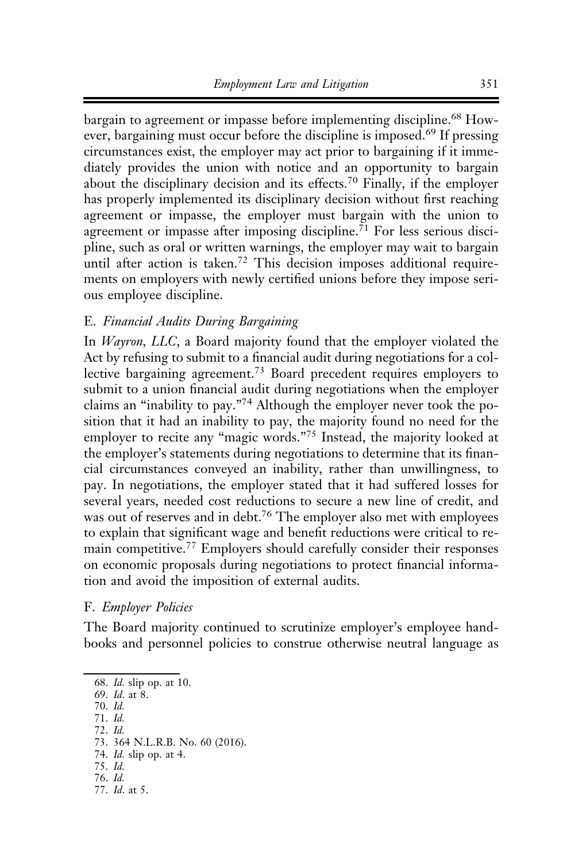bargain to agreement or impasse before implementing discipline.<sup>68</sup> However, bargaining must occur before the discipline is imposed.<sup>69</sup> If pressing circumstances exist, the employer may act prior to bargaining if it immediately provides the union with notice and an opportunity to bargain about the disciplinary decision and its effects.<sup>70</sup> Finally, if the employer has properly implemented its disciplinary decision without first reaching agreement or impasse, the employer must bargain with the union to agreement or impasse after imposing discipline.<sup>71</sup> For less serious discipline, such as oral or written warnings, the employer may wait to bargain until after action is taken.<sup>72</sup> This decision imposes additional requirements on employers with newly certified unions before they impose serious employee discipline.

## E. Financial Audits During Bargaining

In Wayron, LLC, a Board majority found that the employer violated the Act by refusing to submit to a financial audit during negotiations for a collective bargaining agreement.<sup>73</sup> Board precedent requires employers to submit to a union financial audit during negotiations when the employer claims an "inability to pay."<sup>74</sup> Although the employer never took the position that it had an inability to pay, the majority found no need for the employer to recite any "magic words."<sup>75</sup> Instead, the majority looked at the employer's statements during negotiations to determine that its financial circumstances conveyed an inability, rather than unwillingness, to pay. In negotiations, the employer stated that it had suffered losses for several years, needed cost reductions to secure a new line of credit, and was out of reserves and in debt.<sup>76</sup> The employer also met with employees to explain that significant wage and benefit reductions were critical to remain competitive.<sup>77</sup> Employers should carefully consider their responses on economic proposals during negotiations to protect financial information and avoid the imposition of external audits.

## F. Employer Policies

The Board majority continued to scrutinize employer's employee handbooks and personnel policies to construe otherwise neutral language as

68. Id. slip op. at 10.

69. Id. at 8.

70. Id.

- 71. Id.
- 72. Id.
- 73. 364 N.L.R.B. No. 60 (2016).
- 74. Id. slip op. at 4.
- 75. Id.
- 76. Id. 77. Id. at 5.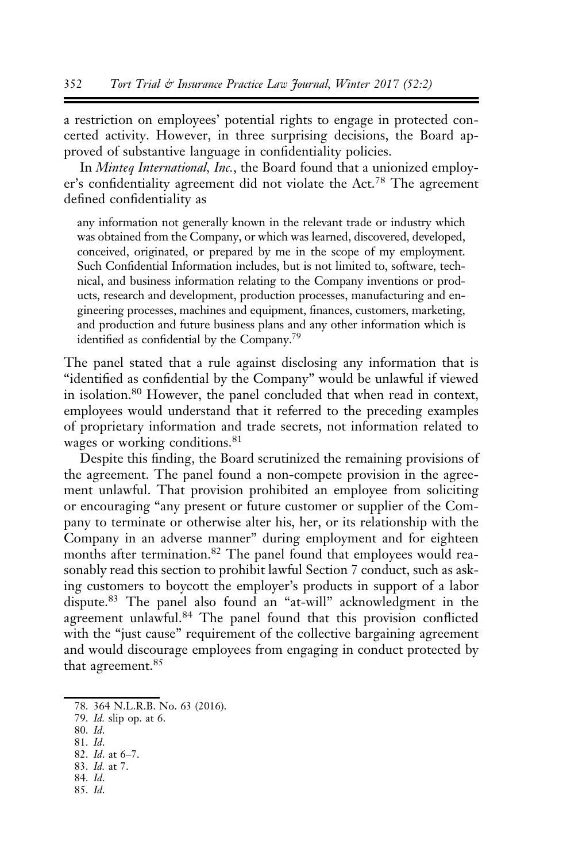a restriction on employees' potential rights to engage in protected concerted activity. However, in three surprising decisions, the Board approved of substantive language in confidentiality policies.

In Minteq International, Inc., the Board found that a unionized employer's confidentiality agreement did not violate the Act.<sup>78</sup> The agreement defined confidentiality as

any information not generally known in the relevant trade or industry which was obtained from the Company, or which was learned, discovered, developed, conceived, originated, or prepared by me in the scope of my employment. Such Confidential Information includes, but is not limited to, software, technical, and business information relating to the Company inventions or products, research and development, production processes, manufacturing and engineering processes, machines and equipment, finances, customers, marketing, and production and future business plans and any other information which is identified as confidential by the Company.79

The panel stated that a rule against disclosing any information that is "identified as confidential by the Company" would be unlawful if viewed in isolation.<sup>80</sup> However, the panel concluded that when read in context, employees would understand that it referred to the preceding examples of proprietary information and trade secrets, not information related to wages or working conditions.<sup>81</sup>

Despite this finding, the Board scrutinized the remaining provisions of the agreement. The panel found a non-compete provision in the agreement unlawful. That provision prohibited an employee from soliciting or encouraging "any present or future customer or supplier of the Company to terminate or otherwise alter his, her, or its relationship with the Company in an adverse manner" during employment and for eighteen months after termination.<sup>82</sup> The panel found that employees would reasonably read this section to prohibit lawful Section 7 conduct, such as asking customers to boycott the employer's products in support of a labor dispute.<sup>83</sup> The panel also found an "at-will" acknowledgment in the agreement unlawful.<sup>84</sup> The panel found that this provision conflicted with the "just cause" requirement of the collective bargaining agreement and would discourage employees from engaging in conduct protected by that agreement.<sup>85</sup>

- 80. Id.
- 81. Id.
- 82. Id. at 6–7. 83. Id. at 7.
- 84. Id.
- 85. Id.

<sup>78. 364</sup> N.L.R.B. No. 63 (2016).

<sup>79.</sup> Id. slip op. at 6.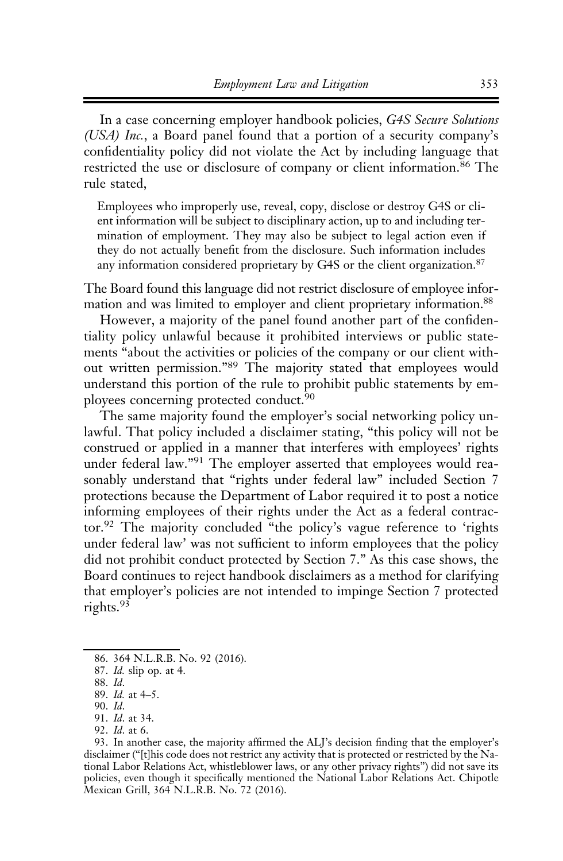In a case concerning employer handbook policies, G4S Secure Solutions (USA) Inc., a Board panel found that a portion of a security company's confidentiality policy did not violate the Act by including language that restricted the use or disclosure of company or client information.<sup>86</sup> The rule stated,

Employees who improperly use, reveal, copy, disclose or destroy G4S or client information will be subject to disciplinary action, up to and including termination of employment. They may also be subject to legal action even if they do not actually benefit from the disclosure. Such information includes any information considered proprietary by G4S or the client organization.<sup>87</sup>

The Board found this language did not restrict disclosure of employee information and was limited to employer and client proprietary information.88

However, a majority of the panel found another part of the confidentiality policy unlawful because it prohibited interviews or public statements "about the activities or policies of the company or our client without written permission."<sup>89</sup> The majority stated that employees would understand this portion of the rule to prohibit public statements by employees concerning protected conduct.<sup>90</sup>

The same majority found the employer's social networking policy unlawful. That policy included a disclaimer stating, "this policy will not be construed or applied in a manner that interferes with employees' rights under federal law."<sup>91</sup> The employer asserted that employees would reasonably understand that "rights under federal law" included Section 7 protections because the Department of Labor required it to post a notice informing employees of their rights under the Act as a federal contractor.<sup>92</sup> The majority concluded "the policy's vague reference to 'rights under federal law' was not sufficient to inform employees that the policy did not prohibit conduct protected by Section 7." As this case shows, the Board continues to reject handbook disclaimers as a method for clarifying that employer's policies are not intended to impinge Section 7 protected rights.<sup>93</sup>

<sup>86. 364</sup> N.L.R.B. No. 92 (2016).

<sup>87.</sup> Id. slip op. at 4.

<sup>88.</sup> Id.

<sup>89.</sup> Id. at 4–5.

<sup>90.</sup> Id.

<sup>91.</sup> Id. at 34. 92. Id. at 6.

<sup>93.</sup> In another case, the majority affirmed the ALJ's decision finding that the employer's disclaimer ("[t]his code does not restrict any activity that is protected or restricted by the National Labor Relations Act, whistleblower laws, or any other privacy rights") did not save its policies, even though it specifically mentioned the National Labor Relations Act. Chipotle Mexican Grill, 364 N.L.R.B. No. 72 (2016).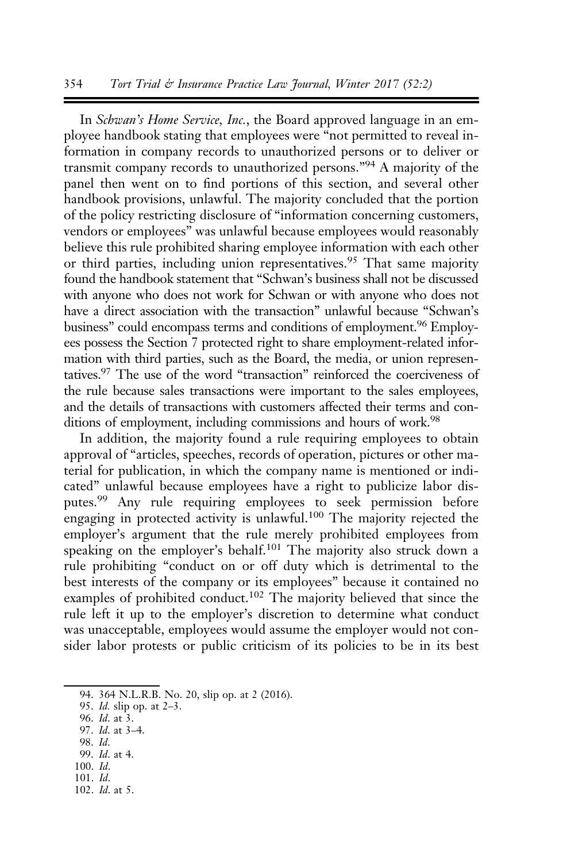#### 354 Tort Trial & Insurance Practice Law Journal, Winter 2017 (52:2)

In Schwan's Home Service, Inc., the Board approved language in an employee handbook stating that employees were "not permitted to reveal information in company records to unauthorized persons or to deliver or transmit company records to unauthorized persons."<sup>94</sup> A majority of the panel then went on to find portions of this section, and several other handbook provisions, unlawful. The majority concluded that the portion of the policy restricting disclosure of "information concerning customers, vendors or employees" was unlawful because employees would reasonably believe this rule prohibited sharing employee information with each other or third parties, including union representatives.<sup>95</sup> That same majority found the handbook statement that "Schwan's business shall not be discussed with anyone who does not work for Schwan or with anyone who does not have a direct association with the transaction" unlawful because "Schwan's business" could encompass terms and conditions of employment.<sup>96</sup> Employees possess the Section 7 protected right to share employment-related information with third parties, such as the Board, the media, or union representatives.97 The use of the word "transaction" reinforced the coerciveness of the rule because sales transactions were important to the sales employees, and the details of transactions with customers affected their terms and conditions of employment, including commissions and hours of work.<sup>98</sup>

In addition, the majority found a rule requiring employees to obtain approval of "articles, speeches, records of operation, pictures or other material for publication, in which the company name is mentioned or indicated" unlawful because employees have a right to publicize labor disputes.<sup>99</sup> Any rule requiring employees to seek permission before engaging in protected activity is unlawful.<sup>100</sup> The majority rejected the employer's argument that the rule merely prohibited employees from speaking on the employer's behalf.<sup>101</sup> The majority also struck down a rule prohibiting "conduct on or off duty which is detrimental to the best interests of the company or its employees" because it contained no examples of prohibited conduct.<sup>102</sup> The majority believed that since the rule left it up to the employer's discretion to determine what conduct was unacceptable, employees would assume the employer would not consider labor protests or public criticism of its policies to be in its best

- 96. Id. at 3.
- 97. Id. at 3–4.
- 98. Id. 99. Id. at 4.
- 100. Id.
- 101. Id.
- 102. Id. at 5.

<sup>94. 364</sup> N.L.R.B. No. 20, slip op. at 2 (2016).

<sup>95.</sup> Id. slip op. at 2–3.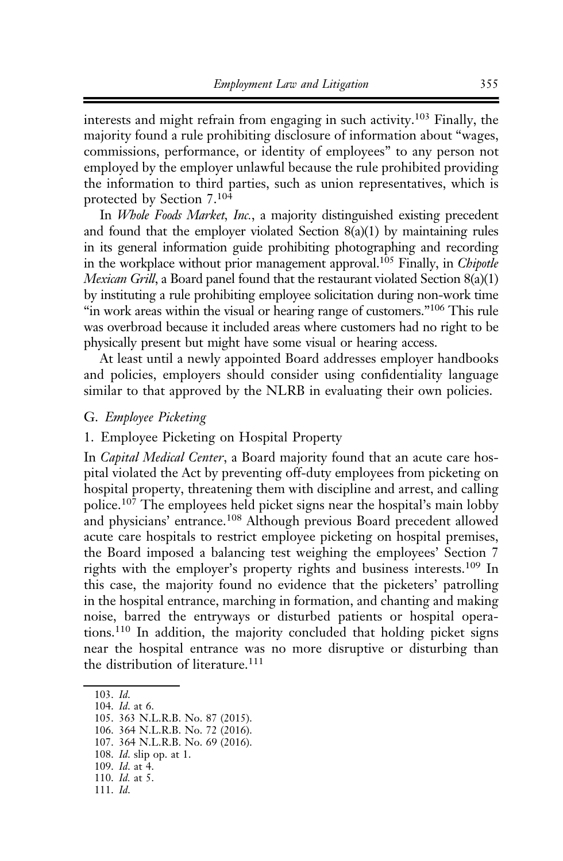interests and might refrain from engaging in such activity.<sup>103</sup> Finally, the majority found a rule prohibiting disclosure of information about "wages, commissions, performance, or identity of employees" to any person not employed by the employer unlawful because the rule prohibited providing the information to third parties, such as union representatives, which is protected by Section 7.<sup>104</sup>

In Whole Foods Market, Inc., a majority distinguished existing precedent and found that the employer violated Section  $8(a)(1)$  by maintaining rules in its general information guide prohibiting photographing and recording in the workplace without prior management approval.<sup>105</sup> Finally, in *Chipotle* Mexican Grill, a Board panel found that the restaurant violated Section 8(a)(1) by instituting a rule prohibiting employee solicitation during non-work time "in work areas within the visual or hearing range of customers."<sup>106</sup> This rule was overbroad because it included areas where customers had no right to be physically present but might have some visual or hearing access.

At least until a newly appointed Board addresses employer handbooks and policies, employers should consider using confidentiality language similar to that approved by the NLRB in evaluating their own policies.

## G. Employee Picketing

#### 1. Employee Picketing on Hospital Property

In Capital Medical Center, a Board majority found that an acute care hospital violated the Act by preventing off-duty employees from picketing on hospital property, threatening them with discipline and arrest, and calling police.<sup>107</sup> The employees held picket signs near the hospital's main lobby and physicians' entrance.<sup>108</sup> Although previous Board precedent allowed acute care hospitals to restrict employee picketing on hospital premises, the Board imposed a balancing test weighing the employees' Section 7 rights with the employer's property rights and business interests.<sup>109</sup> In this case, the majority found no evidence that the picketers' patrolling in the hospital entrance, marching in formation, and chanting and making noise, barred the entryways or disturbed patients or hospital operations.<sup>110</sup> In addition, the majority concluded that holding picket signs near the hospital entrance was no more disruptive or disturbing than the distribution of literature.<sup>111</sup>

- 108. Id. slip op. at 1.
- 109. Id. at 4. 110. Id. at 5.
- 111. Id.

<sup>103.</sup> Id.

<sup>104.</sup> Id. at 6.

<sup>105. 363</sup> N.L.R.B. No. 87 (2015).

<sup>106. 364</sup> N.L.R.B. No. 72 (2016).

<sup>107. 364</sup> N.L.R.B. No. 69 (2016).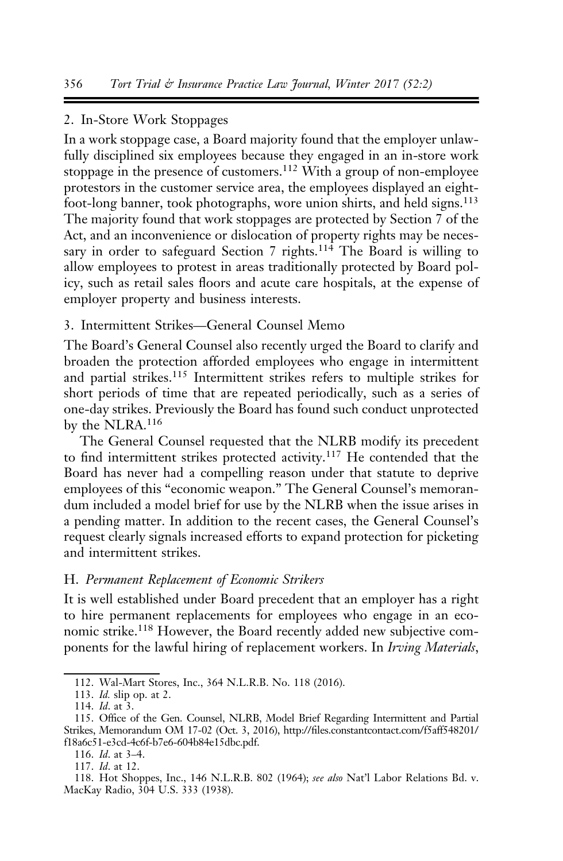#### 2. In-Store Work Stoppages

In a work stoppage case, a Board majority found that the employer unlawfully disciplined six employees because they engaged in an in-store work stoppage in the presence of customers.<sup>112</sup> With a group of non-employee protestors in the customer service area, the employees displayed an eightfoot-long banner, took photographs, wore union shirts, and held signs.<sup>113</sup> The majority found that work stoppages are protected by Section 7 of the Act, and an inconvenience or dislocation of property rights may be necessary in order to safeguard Section 7 rights.<sup>114</sup> The Board is willing to allow employees to protest in areas traditionally protected by Board policy, such as retail sales floors and acute care hospitals, at the expense of employer property and business interests.

#### 3. Intermittent Strikes—General Counsel Memo

The Board's General Counsel also recently urged the Board to clarify and broaden the protection afforded employees who engage in intermittent and partial strikes.<sup>115</sup> Intermittent strikes refers to multiple strikes for short periods of time that are repeated periodically, such as a series of one-day strikes. Previously the Board has found such conduct unprotected by the NLRA.<sup>116</sup>

The General Counsel requested that the NLRB modify its precedent to find intermittent strikes protected activity.<sup>117</sup> He contended that the Board has never had a compelling reason under that statute to deprive employees of this "economic weapon." The General Counsel's memorandum included a model brief for use by the NLRB when the issue arises in a pending matter. In addition to the recent cases, the General Counsel's request clearly signals increased efforts to expand protection for picketing and intermittent strikes.

#### H. Permanent Replacement of Economic Strikers

It is well established under Board precedent that an employer has a right to hire permanent replacements for employees who engage in an economic strike.<sup>118</sup> However, the Board recently added new subjective components for the lawful hiring of replacement workers. In Irving Materials,

<sup>112.</sup> Wal-Mart Stores, Inc., 364 N.L.R.B. No. 118 (2016).

<sup>113.</sup> Id. slip op. at 2.

<sup>114.</sup> Id. at 3.

<sup>115.</sup> Office of the Gen. Counsel, NLRB, Model Brief Regarding Intermittent and Partial Strikes, Memorandum OM 17-02 (Oct. 3, 2016), http://files.constantcontact.com/f5aff548201/ f18a6c51-e3cd-4c6f-b7e6-604b84e15dbc.pdf.

<sup>116.</sup> Id. at 3–4.

<sup>117.</sup> Id. at 12.

<sup>118.</sup> Hot Shoppes, Inc., 146 N.L.R.B. 802 (1964); see also Nat'l Labor Relations Bd. v. MacKay Radio, 304 U.S. 333 (1938).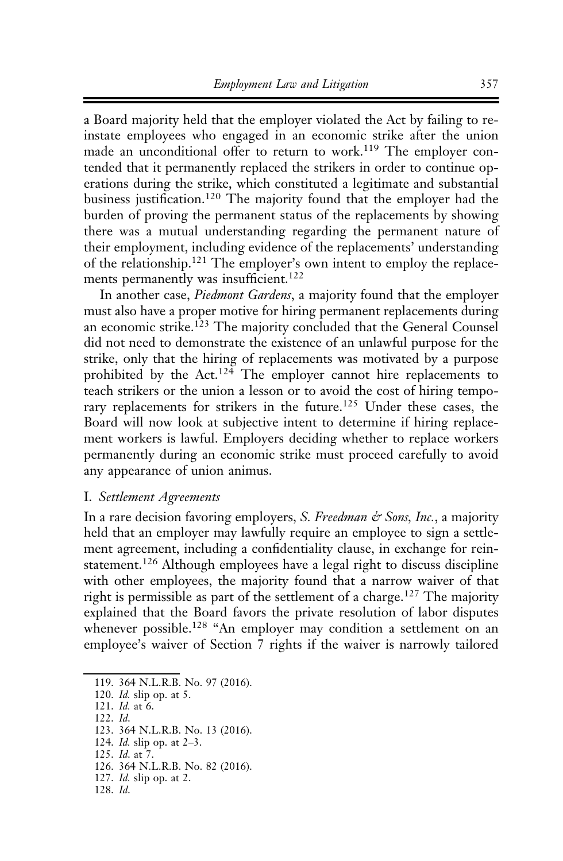a Board majority held that the employer violated the Act by failing to reinstate employees who engaged in an economic strike after the union made an unconditional offer to return to work.<sup>119</sup> The employer contended that it permanently replaced the strikers in order to continue operations during the strike, which constituted a legitimate and substantial business justification.<sup>120</sup> The majority found that the employer had the burden of proving the permanent status of the replacements by showing there was a mutual understanding regarding the permanent nature of their employment, including evidence of the replacements' understanding of the relationship.<sup>121</sup> The employer's own intent to employ the replacements permanently was insufficient.<sup>122</sup>

In another case, *Piedmont Gardens*, a majority found that the employer must also have a proper motive for hiring permanent replacements during an economic strike.<sup>123</sup> The majority concluded that the General Counsel did not need to demonstrate the existence of an unlawful purpose for the strike, only that the hiring of replacements was motivated by a purpose prohibited by the Act.<sup>124</sup> The employer cannot hire replacements to teach strikers or the union a lesson or to avoid the cost of hiring temporary replacements for strikers in the future.<sup>125</sup> Under these cases, the Board will now look at subjective intent to determine if hiring replacement workers is lawful. Employers deciding whether to replace workers permanently during an economic strike must proceed carefully to avoid any appearance of union animus.

#### I. Settlement Agreements

In a rare decision favoring employers, S. Freedman & Sons, Inc., a majority held that an employer may lawfully require an employee to sign a settlement agreement, including a confidentiality clause, in exchange for reinstatement.<sup>126</sup> Although employees have a legal right to discuss discipline with other employees, the majority found that a narrow waiver of that right is permissible as part of the settlement of a charge.<sup>127</sup> The majority explained that the Board favors the private resolution of labor disputes whenever possible.<sup>128</sup> "An employer may condition a settlement on an employee's waiver of Section 7 rights if the waiver is narrowly tailored

122. Id.

<sup>119. 364</sup> N.L.R.B. No. 97 (2016).

<sup>120.</sup> Id. slip op. at 5.

<sup>121.</sup> Id. at 6.

<sup>123. 364</sup> N.L.R.B. No. 13 (2016).

<sup>124.</sup> Id. slip op. at 2–3.

<sup>125.</sup> Id. at 7.

<sup>126. 364</sup> N.L.R.B. No. 82 (2016).

<sup>127.</sup> Id. slip op. at 2.

<sup>128.</sup> Id.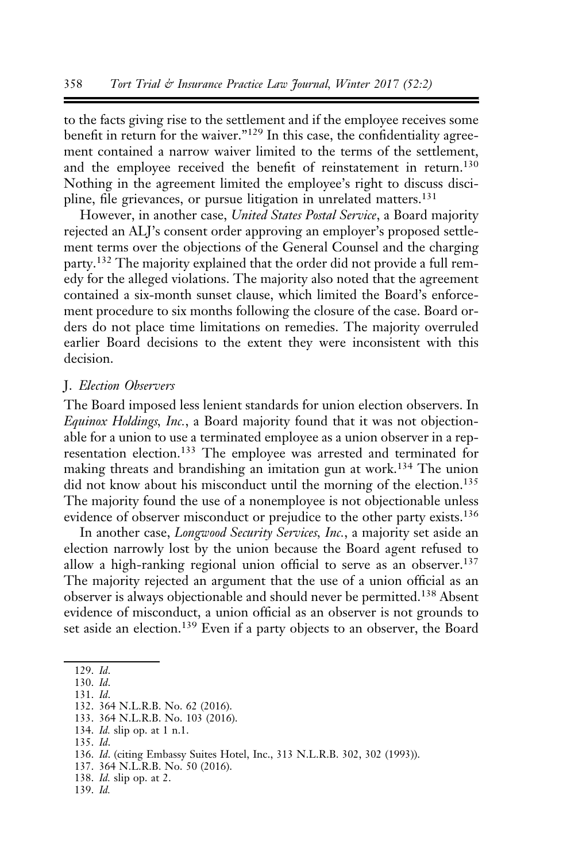to the facts giving rise to the settlement and if the employee receives some benefit in return for the waiver."<sup>129</sup> In this case, the confidentiality agreement contained a narrow waiver limited to the terms of the settlement, and the employee received the benefit of reinstatement in return.<sup>130</sup> Nothing in the agreement limited the employee's right to discuss discipline, file grievances, or pursue litigation in unrelated matters.<sup>131</sup>

However, in another case, United States Postal Service, a Board majority rejected an ALJ's consent order approving an employer's proposed settlement terms over the objections of the General Counsel and the charging party.<sup>132</sup> The majority explained that the order did not provide a full remedy for the alleged violations. The majority also noted that the agreement contained a six-month sunset clause, which limited the Board's enforcement procedure to six months following the closure of the case. Board orders do not place time limitations on remedies. The majority overruled earlier Board decisions to the extent they were inconsistent with this decision.

#### J. Election Observers

The Board imposed less lenient standards for union election observers. In Equinox Holdings, Inc., a Board majority found that it was not objectionable for a union to use a terminated employee as a union observer in a representation election.<sup>133</sup> The employee was arrested and terminated for making threats and brandishing an imitation gun at work.<sup>134</sup> The union did not know about his misconduct until the morning of the election.<sup>135</sup> The majority found the use of a nonemployee is not objectionable unless evidence of observer misconduct or prejudice to the other party exists.<sup>136</sup>

In another case, Longwood Security Services, Inc., a majority set aside an election narrowly lost by the union because the Board agent refused to allow a high-ranking regional union official to serve as an observer.<sup>137</sup> The majority rejected an argument that the use of a union official as an observer is always objectionable and should never be permitted.<sup>138</sup> Absent evidence of misconduct, a union official as an observer is not grounds to set aside an election.<sup>139</sup> Even if a party objects to an observer, the Board

- 131. Id.
- 132. 364 N.L.R.B. No. 62 (2016).
- 133. 364 N.L.R.B. No. 103 (2016).
- 134. Id. slip op. at 1 n.1.
- 135. Id.
- 136. Id. (citing Embassy Suites Hotel, Inc., 313 N.L.R.B. 302, 302 (1993)).
- 137. 364 N.L.R.B. No. 50 (2016).
- 138. Id. slip op. at 2.
- 139. Id.

<sup>129.</sup> Id.

<sup>130.</sup> Id.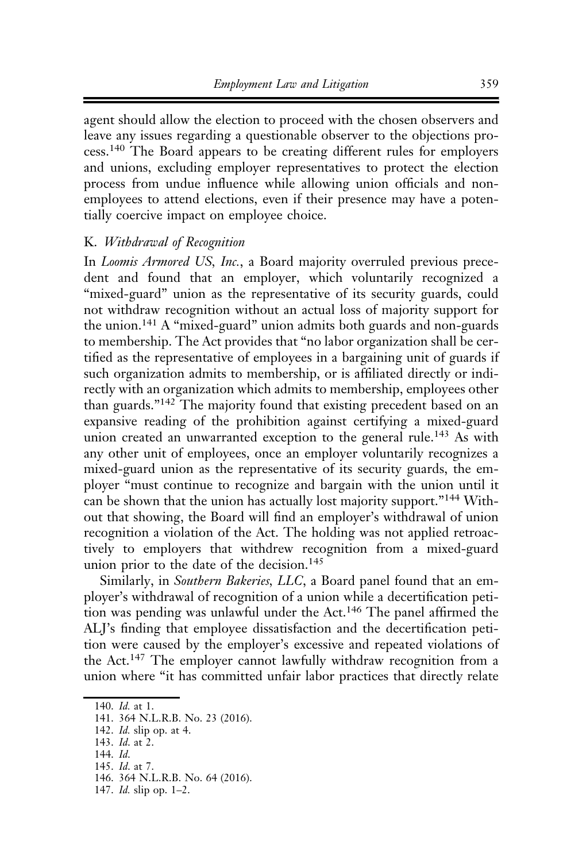agent should allow the election to proceed with the chosen observers and leave any issues regarding a questionable observer to the objections process.<sup>140</sup> The Board appears to be creating different rules for employers and unions, excluding employer representatives to protect the election process from undue influence while allowing union officials and nonemployees to attend elections, even if their presence may have a potentially coercive impact on employee choice.

## K. Withdrawal of Recognition

In Loomis Armored US, Inc., a Board majority overruled previous precedent and found that an employer, which voluntarily recognized a "mixed-guard" union as the representative of its security guards, could not withdraw recognition without an actual loss of majority support for the union.<sup>141</sup> A "mixed-guard" union admits both guards and non-guards to membership. The Act provides that "no labor organization shall be certified as the representative of employees in a bargaining unit of guards if such organization admits to membership, or is affiliated directly or indirectly with an organization which admits to membership, employees other than guards."<sup>142</sup> The majority found that existing precedent based on an expansive reading of the prohibition against certifying a mixed-guard union created an unwarranted exception to the general rule.<sup>143</sup> As with any other unit of employees, once an employer voluntarily recognizes a mixed-guard union as the representative of its security guards, the employer "must continue to recognize and bargain with the union until it can be shown that the union has actually lost majority support."<sup>144</sup> Without that showing, the Board will find an employer's withdrawal of union recognition a violation of the Act. The holding was not applied retroactively to employers that withdrew recognition from a mixed-guard union prior to the date of the decision.<sup>145</sup>

Similarly, in Southern Bakeries, LLC, a Board panel found that an employer's withdrawal of recognition of a union while a decertification petition was pending was unlawful under the Act.<sup>146</sup> The panel affirmed the ALJ's finding that employee dissatisfaction and the decertification petition were caused by the employer's excessive and repeated violations of the Act.<sup>147</sup> The employer cannot lawfully withdraw recognition from a union where "it has committed unfair labor practices that directly relate

<sup>140.</sup> Id. at 1.

<sup>141. 364</sup> N.L.R.B. No. 23 (2016).

<sup>142.</sup> Id. slip op. at 4.

<sup>143.</sup> Id. at 2.

<sup>144.</sup> Id.

<sup>145.</sup> Id. at 7.

<sup>146. 364</sup> N.L.R.B. No. 64 (2016).

<sup>147.</sup> Id. slip op. 1–2.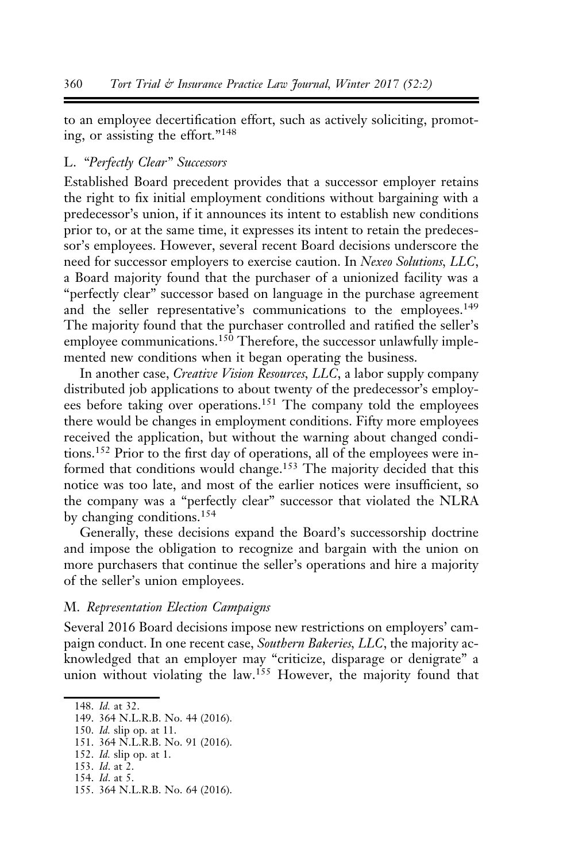to an employee decertification effort, such as actively soliciting, promoting, or assisting the effort."<sup>148</sup>

#### L. "Perfectly Clear" Successors

Established Board precedent provides that a successor employer retains the right to fix initial employment conditions without bargaining with a predecessor's union, if it announces its intent to establish new conditions prior to, or at the same time, it expresses its intent to retain the predecessor's employees. However, several recent Board decisions underscore the need for successor employers to exercise caution. In Nexeo Solutions, LLC, a Board majority found that the purchaser of a unionized facility was a "perfectly clear" successor based on language in the purchase agreement and the seller representative's communications to the employees.<sup>149</sup> The majority found that the purchaser controlled and ratified the seller's employee communications.<sup>150</sup> Therefore, the successor unlawfully implemented new conditions when it began operating the business.

In another case, Creative Vision Resources, LLC, a labor supply company distributed job applications to about twenty of the predecessor's employees before taking over operations.<sup>151</sup> The company told the employees there would be changes in employment conditions. Fifty more employees received the application, but without the warning about changed conditions.152 Prior to the first day of operations, all of the employees were informed that conditions would change.<sup>153</sup> The majority decided that this notice was too late, and most of the earlier notices were insufficient, so the company was a "perfectly clear" successor that violated the NLRA by changing conditions.<sup>154</sup>

Generally, these decisions expand the Board's successorship doctrine and impose the obligation to recognize and bargain with the union on more purchasers that continue the seller's operations and hire a majority of the seller's union employees.

#### M. Representation Election Campaigns

Several 2016 Board decisions impose new restrictions on employers' campaign conduct. In one recent case, Southern Bakeries, LLC, the majority acknowledged that an employer may "criticize, disparage or denigrate" a union without violating the law.<sup>155</sup> However, the majority found that

153. Id. at 2.

155. 364 N.L.R.B. No. 64 (2016).

<sup>148.</sup> Id. at 32.

<sup>149. 364</sup> N.L.R.B. No. 44 (2016).

<sup>150.</sup> Id. slip op. at 11.

<sup>151. 364</sup> N.L.R.B. No. 91 (2016).

<sup>152.</sup> Id. slip op. at 1.

<sup>154.</sup> Id. at 5.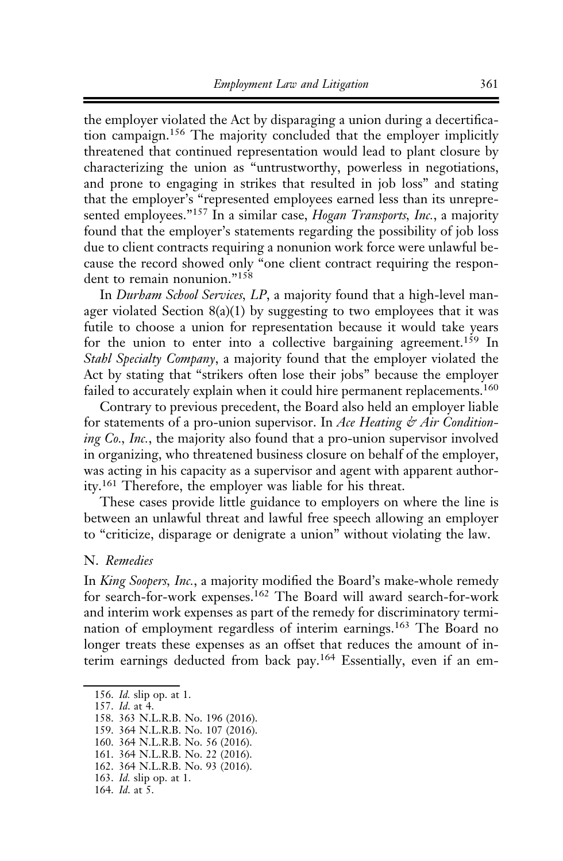the employer violated the Act by disparaging a union during a decertification campaign.<sup>156</sup> The majority concluded that the employer implicitly threatened that continued representation would lead to plant closure by characterizing the union as "untrustworthy, powerless in negotiations, and prone to engaging in strikes that resulted in job loss" and stating that the employer's "represented employees earned less than its unrepresented employees."<sup>157</sup> In a similar case, *Hogan Transports*, *Inc.*, a majority found that the employer's statements regarding the possibility of job loss due to client contracts requiring a nonunion work force were unlawful because the record showed only "one client contract requiring the respondent to remain nonunion."<sup>158</sup>

In Durham School Services, LP, a majority found that a high-level manager violated Section  $8(a)(1)$  by suggesting to two employees that it was futile to choose a union for representation because it would take years for the union to enter into a collective bargaining agreement.<sup>159</sup> In Stahl Specialty Company, a majority found that the employer violated the Act by stating that "strikers often lose their jobs" because the employer failed to accurately explain when it could hire permanent replacements.<sup>160</sup>

Contrary to previous precedent, the Board also held an employer liable for statements of a pro-union supervisor. In Ace Heating  $\dot{\varphi}$  Air Conditioning Co., Inc., the majority also found that a pro-union supervisor involved in organizing, who threatened business closure on behalf of the employer, was acting in his capacity as a supervisor and agent with apparent authority.<sup>161</sup> Therefore, the employer was liable for his threat.

These cases provide little guidance to employers on where the line is between an unlawful threat and lawful free speech allowing an employer to "criticize, disparage or denigrate a union" without violating the law.

#### N. Remedies

In King Soopers, Inc., a majority modified the Board's make-whole remedy for search-for-work expenses.<sup>162</sup> The Board will award search-for-work and interim work expenses as part of the remedy for discriminatory termination of employment regardless of interim earnings.<sup>163</sup> The Board no longer treats these expenses as an offset that reduces the amount of interim earnings deducted from back pay.<sup>164</sup> Essentially, even if an em-

- 162. 364 N.L.R.B. No. 93 (2016).
- 163. Id. slip op. at 1.

164. Id. at 5.

<sup>156.</sup> Id. slip op. at 1.

<sup>157.</sup> Id. at 4.

<sup>158. 363</sup> N.L.R.B. No. 196 (2016).

<sup>159. 364</sup> N.L.R.B. No. 107 (2016).

<sup>160. 364</sup> N.L.R.B. No. 56 (2016).

<sup>161. 364</sup> N.L.R.B. No. 22 (2016).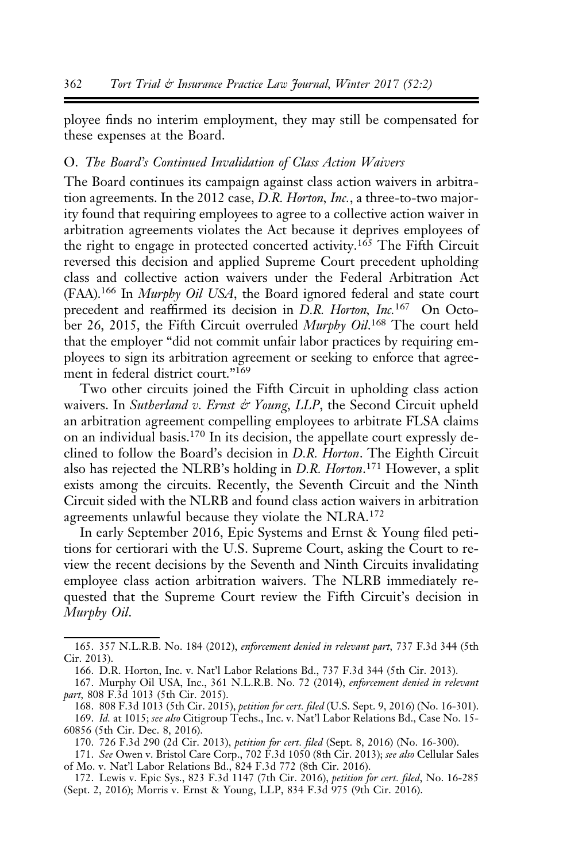ployee finds no interim employment, they may still be compensated for these expenses at the Board.

## O. The Board's Continued Invalidation of Class Action Waivers

The Board continues its campaign against class action waivers in arbitration agreements. In the 2012 case, D.R. Horton, Inc., a three-to-two majority found that requiring employees to agree to a collective action waiver in arbitration agreements violates the Act because it deprives employees of the right to engage in protected concerted activity.<sup>165</sup> The Fifth Circuit reversed this decision and applied Supreme Court precedent upholding class and collective action waivers under the Federal Arbitration Act (FAA).166 In Murphy Oil USA, the Board ignored federal and state court precedent and reaffirmed its decision in D.R. Horton, Inc.<sup>167</sup> On October 26, 2015, the Fifth Circuit overruled Murphy Oil.<sup>168</sup> The court held that the employer "did not commit unfair labor practices by requiring employees to sign its arbitration agreement or seeking to enforce that agreement in federal district court."<sup>169</sup>

Two other circuits joined the Fifth Circuit in upholding class action waivers. In Sutherland v. Ernst  $\phi$  Young, LLP, the Second Circuit upheld an arbitration agreement compelling employees to arbitrate FLSA claims on an individual basis.<sup>170</sup> In its decision, the appellate court expressly declined to follow the Board's decision in D.R. Horton. The Eighth Circuit also has rejected the NLRB's holding in D.R. Horton.<sup>171</sup> However, a split exists among the circuits. Recently, the Seventh Circuit and the Ninth Circuit sided with the NLRB and found class action waivers in arbitration agreements unlawful because they violate the NLRA.<sup>172</sup>

In early September 2016, Epic Systems and Ernst & Young filed petitions for certiorari with the U.S. Supreme Court, asking the Court to review the recent decisions by the Seventh and Ninth Circuits invalidating employee class action arbitration waivers. The NLRB immediately requested that the Supreme Court review the Fifth Circuit's decision in Murphy Oil.

168. 808 F.3d 1013 (5th Cir. 2015), petition for cert. filed (U.S. Sept. 9, 2016) (No. 16-301).

<sup>165. 357</sup> N.L.R.B. No. 184 (2012), enforcement denied in relevant part, 737 F.3d 344 (5th Cir. 2013).

<sup>166.</sup> D.R. Horton, Inc. v. Nat'l Labor Relations Bd., 737 F.3d 344 (5th Cir. 2013).

<sup>167.</sup> Murphy Oil USA, Inc., 361 N.L.R.B. No. 72 (2014), enforcement denied in relevant part, 808 F.3d 1013 (5th Cir. 2015).

<sup>169.</sup> Id. at 1015; see also Citigroup Techs., Inc. v. Nat'l Labor Relations Bd., Case No. 15-60856 (5th Cir. Dec. 8, 2016).

<sup>170. 726</sup> F.3d 290 (2d Cir. 2013), petition for cert. filed (Sept. 8, 2016) (No. 16-300).

<sup>171.</sup> See Owen v. Bristol Care Corp., 702 F.3d 1050 (8th Cir. 2013); see also Cellular Sales of Mo. v. Nat'l Labor Relations Bd., 824 F.3d 772 (8th Cir. 2016).

<sup>172.</sup> Lewis v. Epic Sys., 823 F.3d 1147 (7th Cir. 2016), petition for cert. filed, No. 16-285 (Sept. 2, 2016); Morris v. Ernst & Young, LLP, 834 F.3d 975 (9th Cir. 2016).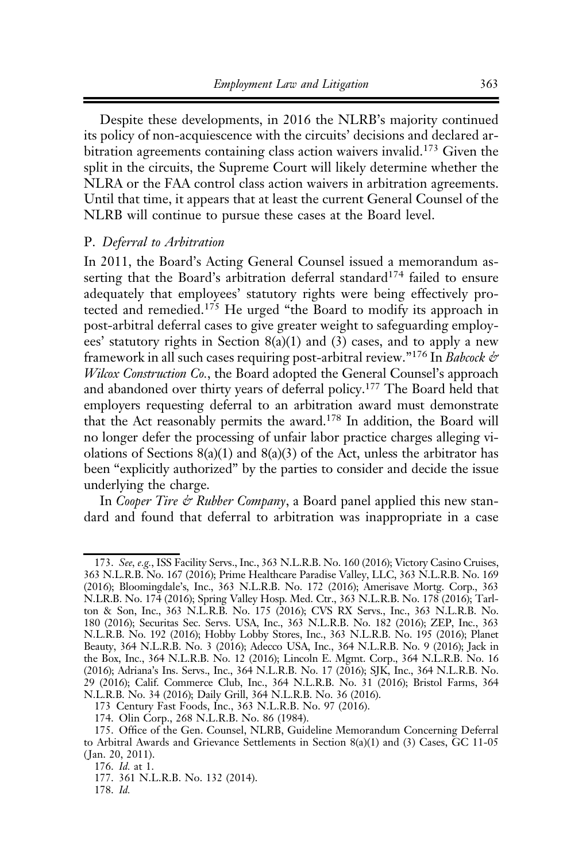Despite these developments, in 2016 the NLRB's majority continued its policy of non-acquiescence with the circuits' decisions and declared arbitration agreements containing class action waivers invalid.<sup>173</sup> Given the split in the circuits, the Supreme Court will likely determine whether the NLRA or the FAA control class action waivers in arbitration agreements. Until that time, it appears that at least the current General Counsel of the NLRB will continue to pursue these cases at the Board level.

#### P. Deferral to Arbitration

In 2011, the Board's Acting General Counsel issued a memorandum asserting that the Board's arbitration deferral standard<sup>174</sup> failed to ensure adequately that employees' statutory rights were being effectively protected and remedied.<sup>175</sup> He urged "the Board to modify its approach in post-arbitral deferral cases to give greater weight to safeguarding employees' statutory rights in Section 8(a)(1) and (3) cases, and to apply a new framework in all such cases requiring post-arbitral review."<sup>176</sup> In *Babcock &* Wilcox Construction Co., the Board adopted the General Counsel's approach and abandoned over thirty years of deferral policy.177 The Board held that employers requesting deferral to an arbitration award must demonstrate that the Act reasonably permits the award.178 In addition, the Board will no longer defer the processing of unfair labor practice charges alleging violations of Sections  $8(a)(1)$  and  $8(a)(3)$  of the Act, unless the arbitrator has been "explicitly authorized" by the parties to consider and decide the issue underlying the charge.

In Cooper Tire & Rubber Company, a Board panel applied this new standard and found that deferral to arbitration was inappropriate in a case

<sup>173.</sup> See, e.g., ISS Facility Servs., Inc., 363 N.L.R.B. No. 160 (2016); Victory Casino Cruises, 363 N.L.R.B. No. 167 (2016); Prime Healthcare Paradise Valley, LLC, 363 N.L.R.B. No. 169 (2016); Bloomingdale's, Inc., 363 N.L.R.B. No. 172 (2016); Amerisave Mortg. Corp., 363 N.LR.B. No. 174 (2016); Spring Valley Hosp. Med. Ctr., 363 N.L.R.B. No. 178 (2016); Tarlton & Son, Inc., 363 N.L.R.B. No. 175 (2016); CVS RX Servs., Inc., 363 N.L.R.B. No. 180 (2016); Securitas Sec. Servs. USA, Inc., 363 N.L.R.B. No. 182 (2016); ZEP, Inc., 363 N.L.R.B. No. 192 (2016); Hobby Lobby Stores, Inc., 363 N.L.R.B. No. 195 (2016); Planet Beauty, 364 N.L.R.B. No. 3 (2016); Adecco USA, Inc., 364 N.L.R.B. No. 9 (2016); Jack in the Box, Inc., 364 N.L.R.B. No. 12 (2016); Lincoln E. Mgmt. Corp., 364 N.L.R.B. No. 16 (2016); Adriana's Ins. Servs., Inc., 364 N.L.R.B. No. 17 (2016); SJK, Inc., 364 N.L.R.B. No. 29 (2016); Calif. Commerce Club, Inc., 364 N.L.R.B. No. 31 (2016); Bristol Farms, 364 N.L.R.B. No. 34 (2016); Daily Grill, 364 N.L.R.B. No. 36 (2016).

<sup>173</sup> Century Fast Foods, Inc., 363 N.L.R.B. No. 97 (2016).

<sup>174.</sup> Olin Corp., 268 N.L.R.B. No. 86 (1984).

<sup>175.</sup> Office of the Gen. Counsel, NLRB, Guideline Memorandum Concerning Deferral to Arbitral Awards and Grievance Settlements in Section 8(a)(1) and (3) Cases, GC 11-05 ( Jan. 20, 2011).

<sup>176.</sup> Id. at 1.

<sup>177. 361</sup> N.L.R.B. No. 132 (2014).

<sup>178.</sup> Id.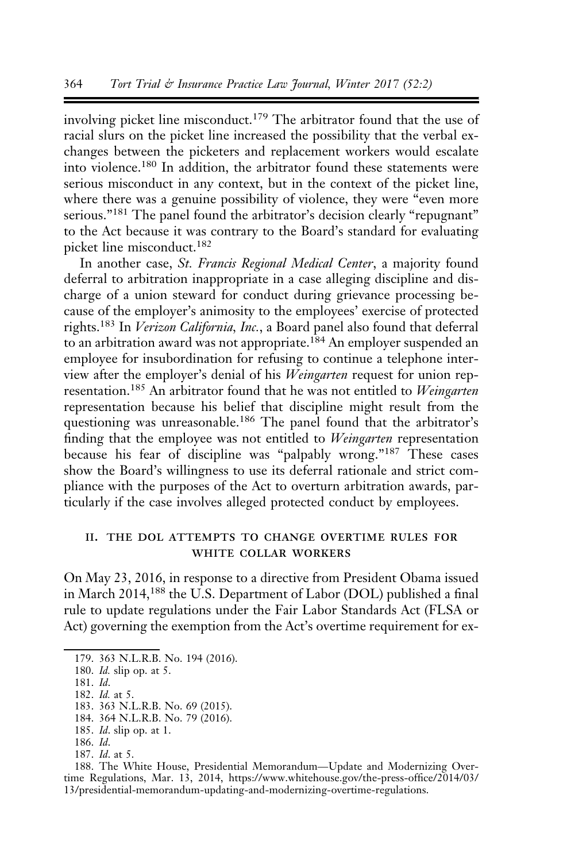involving picket line misconduct.<sup>179</sup> The arbitrator found that the use of racial slurs on the picket line increased the possibility that the verbal exchanges between the picketers and replacement workers would escalate into violence.<sup>180</sup> In addition, the arbitrator found these statements were serious misconduct in any context, but in the context of the picket line, where there was a genuine possibility of violence, they were "even more serious."<sup>181</sup> The panel found the arbitrator's decision clearly "repugnant" to the Act because it was contrary to the Board's standard for evaluating picket line misconduct.<sup>182</sup>

In another case, St. Francis Regional Medical Center, a majority found deferral to arbitration inappropriate in a case alleging discipline and discharge of a union steward for conduct during grievance processing because of the employer's animosity to the employees' exercise of protected rights.<sup>183</sup> In Verizon California, Inc., a Board panel also found that deferral to an arbitration award was not appropriate.<sup>184</sup> An employer suspended an employee for insubordination for refusing to continue a telephone interview after the employer's denial of his Weingarten request for union representation.<sup>185</sup> An arbitrator found that he was not entitled to Weingarten representation because his belief that discipline might result from the questioning was unreasonable.<sup>186</sup> The panel found that the arbitrator's finding that the employee was not entitled to Weingarten representation because his fear of discipline was "palpably wrong."<sup>187</sup> These cases show the Board's willingness to use its deferral rationale and strict compliance with the purposes of the Act to overturn arbitration awards, particularly if the case involves alleged protected conduct by employees.

#### ii. the dol attempts to change overtime rules for white collar workers

On May 23, 2016, in response to a directive from President Obama issued in March 2014,<sup>188</sup> the U.S. Department of Labor (DOL) published a final rule to update regulations under the Fair Labor Standards Act (FLSA or Act) governing the exemption from the Act's overtime requirement for ex-

- 181. Id.
- 182. Id. at 5.
- 183. 363 N.L.R.B. No. 69 (2015).

184. 364 N.L.R.B. No. 79 (2016).

- 185. Id. slip op. at 1.
- 186. Id.
- 187. Id. at 5.

188. The White House, Presidential Memorandum—Update and Modernizing Overtime Regulations, Mar. 13, 2014, https://www.whitehouse.gov/the-press-office/2014/03/ 13/presidential-memorandum-updating-and-modernizing-overtime-regulations.

<sup>179. 363</sup> N.L.R.B. No. 194 (2016).

<sup>180.</sup> Id. slip op. at 5.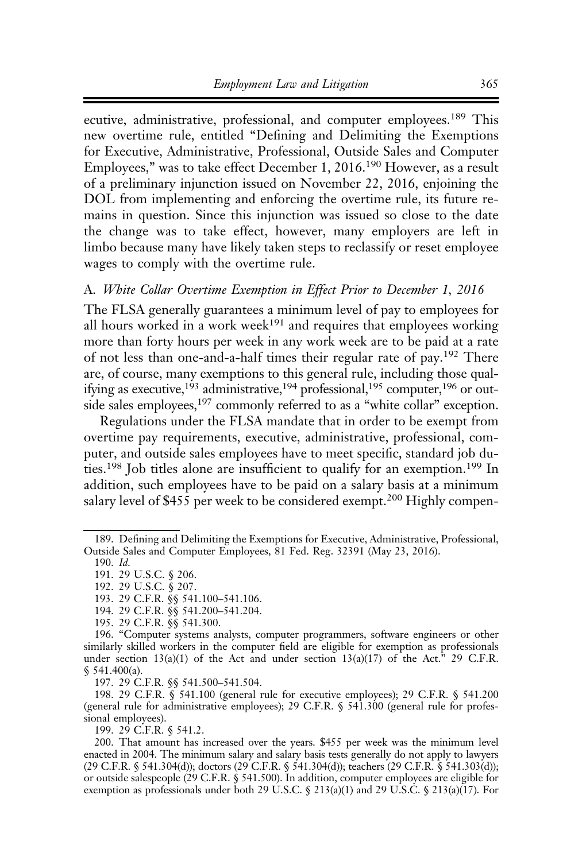ecutive, administrative, professional, and computer employees.<sup>189</sup> This new overtime rule, entitled "Defining and Delimiting the Exemptions for Executive, Administrative, Professional, Outside Sales and Computer Employees," was to take effect December 1, 2016.<sup>190</sup> However, as a result of a preliminary injunction issued on November 22, 2016, enjoining the DOL from implementing and enforcing the overtime rule, its future remains in question. Since this injunction was issued so close to the date the change was to take effect, however, many employers are left in limbo because many have likely taken steps to reclassify or reset employee wages to comply with the overtime rule.

#### A. White Collar Overtime Exemption in Effect Prior to December 1, 2016

The FLSA generally guarantees a minimum level of pay to employees for all hours worked in a work week<sup>191</sup> and requires that employees working more than forty hours per week in any work week are to be paid at a rate of not less than one-and-a-half times their regular rate of pay.<sup>192</sup> There are, of course, many exemptions to this general rule, including those qualifying as executive,<sup>193</sup> administrative,<sup>194</sup> professional,<sup>195</sup> computer,<sup>196</sup> or outside sales employees,<sup>197</sup> commonly referred to as a "white collar" exception.

Regulations under the FLSA mandate that in order to be exempt from overtime pay requirements, executive, administrative, professional, computer, and outside sales employees have to meet specific, standard job duties.<sup>198</sup> Job titles alone are insufficient to qualify for an exemption.<sup>199</sup> In addition, such employees have to be paid on a salary basis at a minimum salary level of \$455 per week to be considered exempt.<sup>200</sup> Highly compen-

195. 29 C.F.R. §§ 541.300.

197. 29 C.F.R. §§ 541.500–541.504.

198. 29 C.F.R. § 541.100 (general rule for executive employees); 29 C.F.R. § 541.200 (general rule for administrative employees); 29 C.F.R. § 541.300 (general rule for professional employees).

199. 29 C.F.R. § 541.2.

200. That amount has increased over the years. \$455 per week was the minimum level enacted in 2004. The minimum salary and salary basis tests generally do not apply to lawyers (29 C.F.R. § 541.304(d)); doctors (29 C.F.R. § 541.304(d)); teachers (29 C.F.R. § 541.303(d)); or outside salespeople (29 C.F.R. § 541.500). In addition, computer employees are eligible for exemption as professionals under both 29 U.S.C. § 213(a)(1) and 29 U.S.C. § 213(a)(17). For

<sup>189.</sup> Defining and Delimiting the Exemptions for Executive, Administrative, Professional, Outside Sales and Computer Employees, 81 Fed. Reg. 32391 (May 23, 2016).

<sup>190.</sup> Id.

<sup>191. 29</sup> U.S.C. § 206.

<sup>192. 29</sup> U.S.C. § 207.

<sup>193. 29</sup> C.F.R. §§ 541.100–541.106.

<sup>194. 29</sup> C.F.R. §§ 541.200–541.204.

<sup>196. &</sup>quot;Computer systems analysts, computer programmers, software engineers or other similarly skilled workers in the computer field are eligible for exemption as professionals under section  $13(a)(1)$  of the Act and under section  $13(a)(17)$  of the Act.<sup>3</sup> 29 C.F.R. § 541.400(a).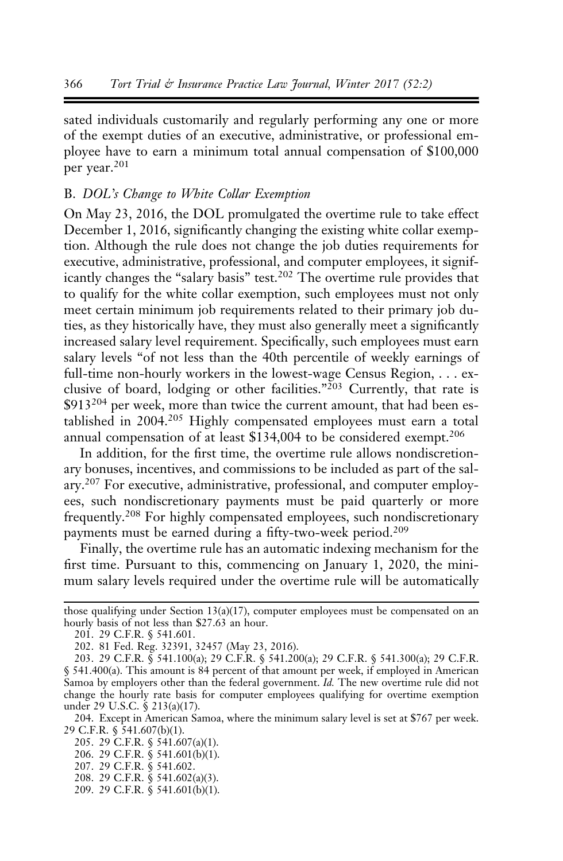sated individuals customarily and regularly performing any one or more of the exempt duties of an executive, administrative, or professional employee have to earn a minimum total annual compensation of \$100,000 per year.<sup>201</sup>

#### B. DOL's Change to White Collar Exemption

On May 23, 2016, the DOL promulgated the overtime rule to take effect December 1, 2016, significantly changing the existing white collar exemption. Although the rule does not change the job duties requirements for executive, administrative, professional, and computer employees, it significantly changes the "salary basis" test.<sup>202</sup> The overtime rule provides that to qualify for the white collar exemption, such employees must not only meet certain minimum job requirements related to their primary job duties, as they historically have, they must also generally meet a significantly increased salary level requirement. Specifically, such employees must earn salary levels "of not less than the 40th percentile of weekly earnings of full-time non-hourly workers in the lowest-wage Census Region, . . . exclusive of board, lodging or other facilities."<sup>203</sup> Currently, that rate is \$913<sup>204</sup> per week, more than twice the current amount, that had been established in 2004.<sup>205</sup> Highly compensated employees must earn a total annual compensation of at least \$134,004 to be considered exempt.<sup>206</sup>

In addition, for the first time, the overtime rule allows nondiscretionary bonuses, incentives, and commissions to be included as part of the salary.207 For executive, administrative, professional, and computer employees, such nondiscretionary payments must be paid quarterly or more frequently.<sup>208</sup> For highly compensated employees, such nondiscretionary payments must be earned during a fifty-two-week period.<sup>209</sup>

Finally, the overtime rule has an automatic indexing mechanism for the first time. Pursuant to this, commencing on January 1, 2020, the minimum salary levels required under the overtime rule will be automatically

those qualifying under Section 13(a)(17), computer employees must be compensated on an hourly basis of not less than \$27.63 an hour.

<sup>201. 29</sup> C.F.R. § 541.601.

<sup>202. 81</sup> Fed. Reg. 32391, 32457 (May 23, 2016).

<sup>203. 29</sup> C.F.R. § 541.100(a); 29 C.F.R. § 541.200(a); 29 C.F.R. § 541.300(a); 29 C.F.R. § 541.400(a). This amount is 84 percent of that amount per week, if employed in American Samoa by employers other than the federal government. Id. The new overtime rule did not change the hourly rate basis for computer employees qualifying for overtime exemption under 29 U.S.C. § 213(a)(17).

<sup>204.</sup> Except in American Samoa, where the minimum salary level is set at \$767 per week. 29 C.F.R. § 541.607(b)(1).

<sup>205. 29</sup> C.F.R. § 541.607(a)(1).

<sup>206. 29</sup> C.F.R. § 541.601(b)(1).

<sup>207. 29</sup> C.F.R. § 541.602.

<sup>208. 29</sup> C.F.R. § 541.602(a)(3).

<sup>209. 29</sup> C.F.R. § 541.601(b)(1).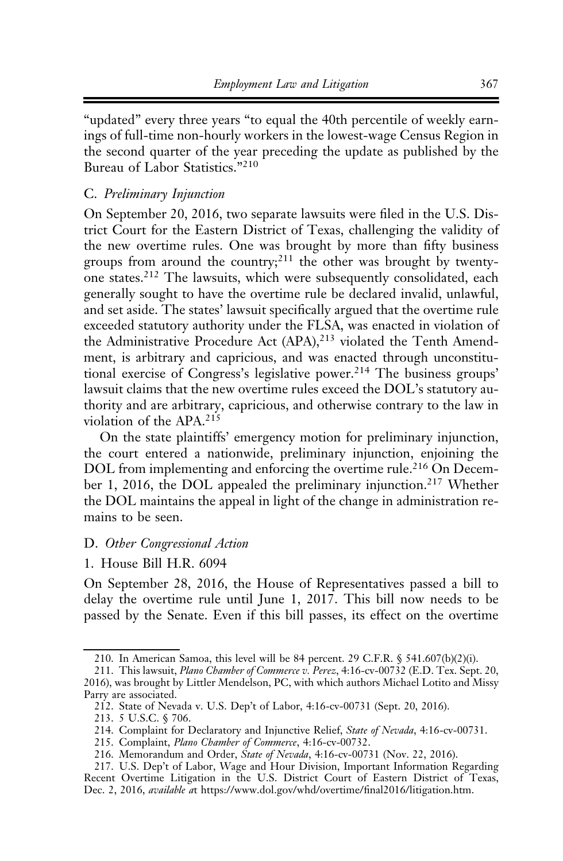"updated" every three years "to equal the 40th percentile of weekly earnings of full-time non-hourly workers in the lowest-wage Census Region in the second quarter of the year preceding the update as published by the Bureau of Labor Statistics."<sup>210</sup>

## C. Preliminary Injunction

On September 20, 2016, two separate lawsuits were filed in the U.S. District Court for the Eastern District of Texas, challenging the validity of the new overtime rules. One was brought by more than fifty business groups from around the country;<sup>211</sup> the other was brought by twentyone states.<sup>212</sup> The lawsuits, which were subsequently consolidated, each generally sought to have the overtime rule be declared invalid, unlawful, and set aside. The states' lawsuit specifically argued that the overtime rule exceeded statutory authority under the FLSA, was enacted in violation of the Administrative Procedure Act (APA),<sup>213</sup> violated the Tenth Amendment, is arbitrary and capricious, and was enacted through unconstitutional exercise of Congress's legislative power.<sup>214</sup> The business groups' lawsuit claims that the new overtime rules exceed the DOL's statutory authority and are arbitrary, capricious, and otherwise contrary to the law in violation of the APA.<sup>215</sup>

On the state plaintiffs' emergency motion for preliminary injunction, the court entered a nationwide, preliminary injunction, enjoining the DOL from implementing and enforcing the overtime rule.<sup>216</sup> On December 1, 2016, the DOL appealed the preliminary injunction.<sup>217</sup> Whether the DOL maintains the appeal in light of the change in administration remains to be seen.

## D. Other Congressional Action

1. House Bill H.R. 6094

On September 28, 2016, the House of Representatives passed a bill to delay the overtime rule until June 1, 2017. This bill now needs to be passed by the Senate. Even if this bill passes, its effect on the overtime

<sup>210.</sup> In American Samoa, this level will be 84 percent. 29 C.F.R. § 541.607(b)(2)(i).

<sup>211.</sup> This lawsuit, Plano Chamber of Commerce v. Perez, 4:16-cv-00732 (E.D. Tex. Sept. 20, 2016), was brought by Littler Mendelson, PC, with which authors Michael Lotito and Missy Parry are associated.

<sup>212.</sup> State of Nevada v. U.S. Dep't of Labor, 4:16-cv-00731 (Sept. 20, 2016).

<sup>213. 5</sup> U.S.C. § 706.

<sup>214.</sup> Complaint for Declaratory and Injunctive Relief, State of Nevada, 4:16-cv-00731.

<sup>215.</sup> Complaint, Plano Chamber of Commerce, 4:16-cv-00732.

<sup>216.</sup> Memorandum and Order, State of Nevada, 4:16-cv-00731 (Nov. 22, 2016).

<sup>217.</sup> U.S. Dep't of Labor, Wage and Hour Division, Important Information Regarding Recent Overtime Litigation in the U.S. District Court of Eastern District of Texas, Dec. 2, 2016, available at https://www.dol.gov/whd/overtime/final2016/litigation.htm.